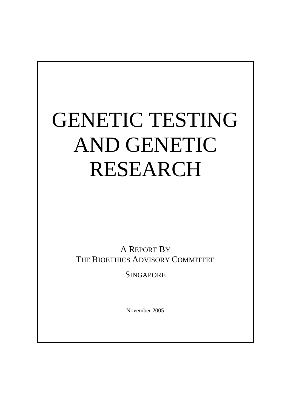# GENETIC TESTING AND GENETIC RESEARCH

A REPORT BY THE BIOETHICS ADVISORY COMMITTEE

**SINGAPORE** 

November 2005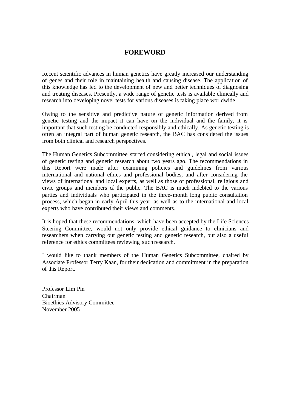#### **FOREWORD**

Recent scientific advances in human genetics have greatly increased our understanding of genes and their role in maintaining health and causing disease. The application of this knowledge has led to the development of new and better techniques of diagnosing and treating diseases. Presently, a wide range of genetic tests is available clinically and research into developing novel tests for various diseases is taking place worldwide.

Owing to the sensitive and predictive nature of genetic information derived from genetic testing and the impact it can have on the individual and the family, it is important that such testing be conducted responsibly and ethically. As genetic testing is often an integral part of human genetic research, the BAC has considered the issues from both clinical and research perspectives.

The Human Genetics Subcommittee started considering ethical, legal and social issues of genetic testing and genetic research about two years ago. The recommendations in this Report were made after examining policies and guidelines from various international and national ethics and professional bodies, and after considering the views of international and local experts, as well as those of professional, religious and civic groups and members of the public. The BAC is much indebted to the various parties and individuals who participated in the three-month long public consultation process, which began in early April this year, as well as to the international and local experts who have contributed their views and comments.

It is hoped that these recommendations, which have been accepted by the Life Sciences Steering Committee, would not only provide ethical guidance to clinicians and researchers when carrying out genetic testing and genetic research, but also a useful reference for ethics committees reviewing such research.

I would like to thank members of the Human Genetics Subcommittee, chaired by Associate Professor Terry Kaan, for their dedication and commitment in the preparation of this Report.

Professor Lim Pin Chairman Bioethics Advisory Committee November 2005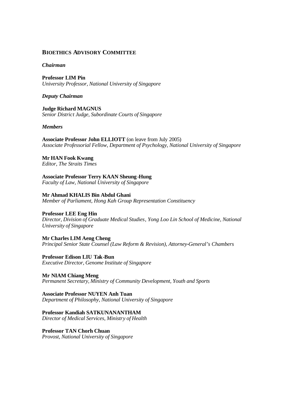#### **BIOETHICS ADVISORY COMMITTEE**

#### *Chairman*

**Professor LIM Pin** *University Professor, National University of Singapore*

#### *Deputy Chairman*

**Judge Richard MAGNUS**  *Senior District Judge, Subordinate Courts of Singapore*

#### *Members*

**Associate Professor John ELLIOTT** (on leave from July 2005) *Associate Professorial Fellow, Department of Psychology, National University of Singapore*

#### **Mr HAN Fook Kwang**

*Editor, The Straits Times*

**Associate Professor Terry KAAN Sheung-Hung** *Faculty of Law, National University of Singapore*

#### **Mr Ahmad KHALIS Bin Abdul Ghani**

*Member of Parliament, Hong Kah Group Representation Constituency*

#### **Professor LEE Eng Hin**

*Director, Division of Graduate Medical Studies, Yong Loo Lin School of Medicine, National University of Singapore*

**Mr Charles LIM Aeng Cheng** *Principal Senior State Counsel (Law Reform & Revision), Attorney-General's Chambers*

#### **Professor Edison LIU Tak-Bun**

*Executive Director, Genome Institute of Singapore*

#### **Mr NIAM Chiang Meng** *Permanent Secretary, Ministry of Community Development, Youth and Sports*

**Associate Professor NUYEN Anh Tuan** *Department of Philosophy, National University of Singapore*

#### **Professor Kandiah SATKUNANANTHAM**

*Director of Medical Services, Ministry of Health*

**Professor TAN Chorh Chuan** *Provost, National University of Singapore*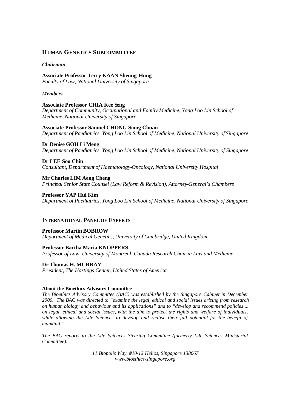#### **HUMAN GENETICS SUBCOMMITTEE**

#### *Chairman*

**Associate Professor Terry KAAN Sheung-Hung** *Faculty of Law, National University of Singapore*

#### *Members*

#### **Associate Professor CHIA Kee Seng**

*Department of Community, Occupational and Family Medicine, Yong Loo Lin School of Medicine, National University of Singapore*

#### **Associate Professor Samuel CHONG Siong Chuan** *Department of Paediatrics, Yong Loo Lin School of Medicine, National University of Singapore*

#### **Dr Denise GOH Li Meng**

*Department of Paediatrics, Yong Loo Lin School of Medicine, National University of Singapore*

#### **Dr LEE Soo Chin**

*Consultant, Department of Haematology-Oncology, National University Hospital*

**Mr Charles LIM Aeng Cheng**  *Principal Senior State Counsel (Law Reform & Revision), Attorney-General's Chambers*

**Professor YAP Hui Kim** *Department of Paediatrics, Yong Loo Lin School of Medicine, National University of Singapore*

#### **INTERNATIONAL PANEL OF EXPERTS**

**Professor Martin BOBROW** *Department of Medical Genetics, University of Cambridge, United Kingdom*

**Professor Bartha Maria KNOPPERS** *Professor of Law, University of Montreal, Canada Research Chair in Law and Medicine*

#### **Dr Thomas H. MURRAY**

*President, The Hastings Center, United States of America* 

#### **About the Bioethics Advisory Committee**

*The Bioethics Advisory Committee (BAC) was established by the Singapore Cabinet in December 2000. The BAC was directed to "examine the legal, ethical and social issues arising from research on human biology and behaviour and its applications" and to "develop and recommend policies ... on legal, ethical and social issues, with the aim to protect the rights and welfare of individuals, while allowing the Life Sciences to develop and realise their full potential for the benefit of mankind."*

*The BAC reports to the Life Sciences Steering Committee (formerly Life Sciences Ministerial Committee).* 

> *11 Biopolis Way, #10-12 Helios, Singapore 138667 www.bioethics-singapore.org*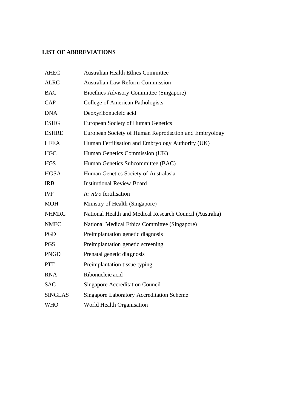#### **LIST OF ABBREVIATIONS**

| <b>AHEC</b>    | <b>Australian Health Ethics Committee</b>                |
|----------------|----------------------------------------------------------|
| <b>ALRC</b>    | <b>Australian Law Reform Commission</b>                  |
| <b>BAC</b>     | Bioethics Advisory Committee (Singapore)                 |
| <b>CAP</b>     | College of American Pathologists                         |
| <b>DNA</b>     | Deoxyribonucleic acid                                    |
| <b>ESHG</b>    | <b>European Society of Human Genetics</b>                |
| <b>ESHRE</b>   | European Society of Human Reproduction and Embryology    |
| <b>HFEA</b>    | Human Fertilisation and Embryology Authority (UK)        |
| <b>HGC</b>     | Human Genetics Commission (UK)                           |
| <b>HGS</b>     | Human Genetics Subcommittee (BAC)                        |
| <b>HGSA</b>    | Human Genetics Society of Australasia                    |
| <b>IRB</b>     | <b>Institutional Review Board</b>                        |
| <b>IVF</b>     | In vitro fertilisation                                   |
| <b>MOH</b>     | Ministry of Health (Singapore)                           |
| <b>NHMRC</b>   | National Health and Medical Research Council (Australia) |
| <b>NMEC</b>    | National Medical Ethics Committee (Singapore)            |
| PGD            | Preimplantation genetic diagnosis                        |
| <b>PGS</b>     | Preimplantation genetic screening                        |
| <b>PNGD</b>    | Prenatal genetic diagnosis                               |
| <b>PTT</b>     | Preimplantation tissue typing                            |
| <b>RNA</b>     | Ribonucleic acid                                         |
| <b>SAC</b>     | <b>Singapore Accreditation Council</b>                   |
| <b>SINGLAS</b> | <b>Singapore Laboratory Accreditation Scheme</b>         |
| <b>WHO</b>     | World Health Organisation                                |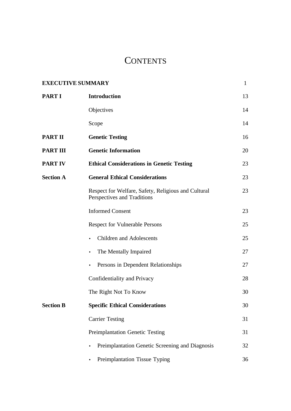## **CONTENTS**

| <b>EXECUTIVE SUMMARY</b> |                                                                                    | $\mathbf{1}$ |
|--------------------------|------------------------------------------------------------------------------------|--------------|
| <b>PART I</b>            | <b>Introduction</b>                                                                | 13           |
|                          | Objectives                                                                         | 14           |
|                          | Scope                                                                              | 14           |
| <b>PART II</b>           | <b>Genetic Testing</b>                                                             | 16           |
| <b>PART III</b>          | <b>Genetic Information</b>                                                         | 20           |
| <b>PART IV</b>           | <b>Ethical Considerations in Genetic Testing</b>                                   | 23           |
| <b>Section A</b>         | <b>General Ethical Considerations</b>                                              | 23           |
|                          | Respect for Welfare, Safety, Religious and Cultural<br>Perspectives and Traditions | 23           |
|                          | <b>Informed Consent</b>                                                            | 23           |
|                          | <b>Respect for Vulnerable Persons</b>                                              | 25           |
|                          | <b>Children and Adolescents</b>                                                    | 25           |
|                          | The Mentally Impaired<br>$\bullet$                                                 | 27           |
|                          | Persons in Dependent Relationships                                                 | 27           |
|                          | Confidentiality and Privacy                                                        | 28           |
|                          | The Right Not To Know                                                              | 30           |
| <b>Section B</b>         | <b>Specific Ethical Considerations</b>                                             | 30           |
|                          | <b>Carrier Testing</b>                                                             | 31           |
|                          | <b>Preimplantation Genetic Testing</b>                                             | 31           |
|                          | Preimplantation Genetic Screening and Diagnosis                                    | 32           |
|                          | Preimplantation Tissue Typing                                                      | 36           |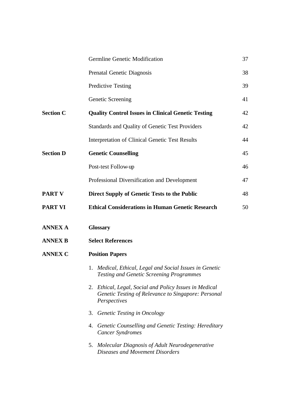|                  | <b>Germline Genetic Modification</b>                                                                                             | 37 |
|------------------|----------------------------------------------------------------------------------------------------------------------------------|----|
|                  | Prenatal Genetic Diagnosis                                                                                                       | 38 |
|                  | <b>Predictive Testing</b>                                                                                                        | 39 |
|                  | Genetic Screening                                                                                                                | 41 |
| <b>Section C</b> | <b>Quality Control Issues in Clinical Genetic Testing</b>                                                                        | 42 |
|                  | Standards and Quality of Genetic Test Providers                                                                                  | 42 |
|                  | Interpretation of Clinical Genetic Test Results                                                                                  | 44 |
| <b>Section D</b> | <b>Genetic Counselling</b>                                                                                                       | 45 |
|                  | Post-test Follow-up                                                                                                              | 46 |
|                  | Professional Diversification and Development                                                                                     | 47 |
| <b>PART V</b>    | <b>Direct Supply of Genetic Tests to the Public</b>                                                                              | 48 |
| <b>PART VI</b>   | <b>Ethical Considerations in Human Genetic Research</b>                                                                          | 50 |
| <b>ANNEX A</b>   | <b>Glossary</b>                                                                                                                  |    |
| <b>ANNEX B</b>   | <b>Select References</b>                                                                                                         |    |
| <b>ANNEX C</b>   | <b>Position Papers</b>                                                                                                           |    |
|                  | 1. Medical, Ethical, Legal and Social Issues in Genetic<br><b>Testing and Genetic Screening Programmes</b>                       |    |
|                  | Ethical, Legal, Social and Policy Issues in Medical<br>2.<br>Genetic Testing of Relevance to Singapore: Personal<br>Perspectives |    |
|                  | 3.<br>Genetic Testing in Oncology                                                                                                |    |
|                  | <b>Genetic Counselling and Genetic Testing: Hereditary</b><br>4.<br><b>Cancer Syndromes</b>                                      |    |
|                  | Molecular Diagnosis of Adult Neurodegenerative<br>5.<br>Diseases and Movement Disorders                                          |    |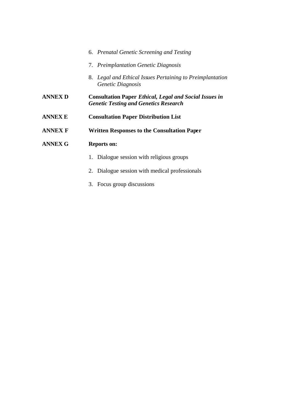- 6. *Prenatal Genetic Screening and Testing*
- 7. *Preimplantation Genetic Diagnosis*
- 8. *Legal and Ethical Issues Pertaining to Preimplantation Genetic Diagnosis*
- **ANNEX D Consultation Paper** *Ethical, Legal and Social Issues in Genetic Testing and Genetics Research*
- **ANNEX E Consultation Paper Distribution List**
- **ANNEX F Written Responses to the Consultation Paper**
- **ANNEX G Reports on:**
	- 1. Dialogue session with religious groups
	- 2. Dialogue session with medical professionals
	- 3. Focus group discussions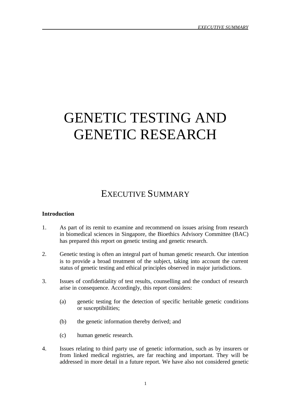# GENETIC TESTING AND GENETIC RESEARCH

### EXECUTIVE SUMMARY

#### **Introduction**

- 1. As part of its remit to examine and recommend on issues arising from research in biomedical sciences in Singapore, the Bioethics Advisory Committee (BAC) has prepared this report on genetic testing and genetic research.
- 2. Genetic testing is often an integral part of human genetic research. Our intention is to provide a broad treatment of the subject, taking into account the current status of genetic testing and ethical principles observed in major jurisdictions.
- 3. Issues of confidentiality of test results, counselling and the conduct of research arise in consequence. Accordingly, this report considers:
	- (a) genetic testing for the detection of specific heritable genetic conditions or susceptibilities;
	- (b) the genetic information thereby derived; and
	- (c) human genetic research.
- 4. Issues relating to third party use of genetic information, such as by insurers or from linked medical registries, are far reaching and important. They will be addressed in more detail in a future report. We have also not considered genetic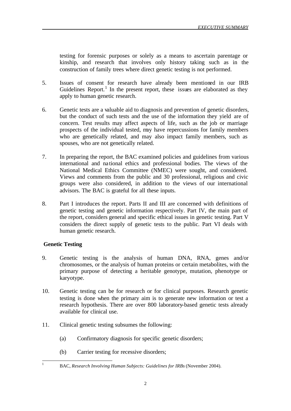testing for forensic purposes or solely as a means to ascertain parentage or kinship, and research that involves only history taking such as in the construction of family trees where direct genetic testing is not performed.

- 5. Issues of consent for research have already been mentioned in our IRB Guidelines Report.<sup>1</sup> In the present report, these issues are elaborated as they apply to human genetic research.
- 6. Genetic tests are a valuable aid to diagnosis and prevention of genetic disorders, but the conduct of such tests and the use of the information they yield are of concern. Test results may affect aspects of life, such as the job or marriage prospects of the individual tested, may have repercussions for family members who are genetically related, and may also impact family members, such as spouses, who are not genetically related.
- 7. In preparing the report, the BAC examined policies and guidelines from various international and na tional ethics and professional bodies. The views of the National Medical Ethics Committee (NMEC) were sought, and considered. Views and comments from the public and 30 professional, religious and civic groups were also considered, in addition to the views of our international advisors. The BAC is grateful for all these inputs.
- 8. Part I introduces the report. Parts II and III are concerned with definitions of genetic testing and genetic information respectively. Part IV, the main part of the report, considers general and specific ethical issues in genetic testing. Part V considers the direct supply of genetic tests to the public. Part VI deals with human genetic research.

#### **Genetic Testing**

- 9. Genetic testing is the analysis of human DNA, RNA, genes and/or chromosomes, or the analysis of human proteins or certain metabolites, with the primary purpose of detecting a heritable genotype, mutation, phenotype or karyotype.
- 10. Genetic testing can be for research or for clinical purposes. Research genetic testing is done when the primary aim is to generate new information or test a research hypothesis. There are over 800 laboratory-based genetic tests already available for clinical use.
- 11. Clinical genetic testing subsumes the following:
	- (a) Confirmatory diagnosis for specific genetic disorders;
	- (b) Carrier testing for recessive disorders;

 $\mathbf{1}$ 

<sup>1</sup> BAC, *Research Involving Human Subjects: Guidelines for IRBs* (November 2004).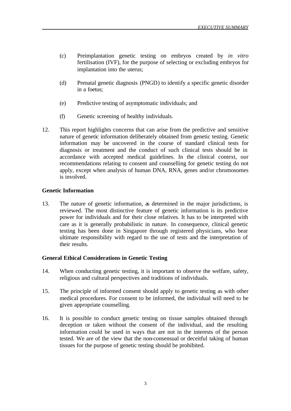- (c) Preimplantation genetic testing on embryos created by *in vitro* fertilisation (IVF), for the purpose of selecting or excluding embryos for implantation into the uterus;
- (d) Prenatal genetic diagnosis (PNGD) to identify a specific genetic disorder in a foetus;
- (e) Predictive testing of asymptomatic individuals; and
- (f) Genetic screening of healthy individuals.
- 12. This report highlights concerns that can arise from the predictive and sensitive nature of genetic information deliberately obtained from genetic testing. Genetic information may be uncovered in the course of standard clinical tests for diagnosis or treatment and the conduct of such clinical tests should be in accordance with accepted medical guidelines. In the clinical context, our recommendations relating to consent and counselling for genetic testing do not apply, except when analysis of human DNA, RNA, genes and/or chromosomes is involved.

#### **Genetic Information**

13. The nature of genetic information, as determined in the major jurisdictions, is reviewed. The most distinctive feature of genetic information is its predictive power for individuals and for their close relatives. It has to be interpreted with care as it is generally probabilistic in nature. In consequence, clinical genetic testing has been done in Singapore through registered physicians, who bear ultimate responsibility with regard to the use of tests and the interpretation of their results.

#### **General Ethical Considerations in Genetic Testing**

- 14. When conducting genetic testing, it is important to observe the welfare, safety, religious and cultural perspectives and traditions of individuals.
- 15. The principle of informed consent should apply to genetic testing as with other medical procedures. For consent to be informed, the individual will need to be given appropriate counselling.
- 16. It is possible to conduct genetic testing on tissue samples obtained through deception or taken without the consent of the individual, and the resulting information could be used in ways that are not in the interests of the person tested. We are of the view that the non-consensual or deceitful taking of human tissues for the purpose of genetic testing should be prohibited.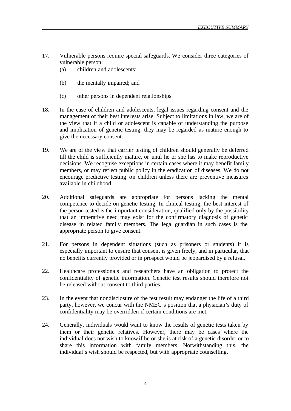- 17. Vulnerable persons require special safeguards. We consider three categories of vulnerable person:
	- (a) children and adolescents;
	- (b) the mentally impaired; and
	- (c) other persons in dependent relationships.
- 18. In the case of children and adolescents, legal issues regarding consent and the management of their best interests arise. Subject to limitations in law, we are of the view that if a child or adolescent is capable of understanding the purpose and implication of genetic testing, they may be regarded as mature enough to give the necessary consent.
- 19. We are of the view that carrier testing of children should generally be deferred till the child is sufficiently mature, or until he or she has to make reproductive decisions. We recognise exceptions in certain cases where it may benefit family members, or may reflect public policy in the eradication of diseases. We do not encourage predictive testing on children unless there are preventive measures available in childhood.
- 20. Additional safeguards are appropriate for persons lacking the mental competence to decide on genetic testing. In clinical testing, the best interest of the person tested is the important consideration, qualified only by the possibility that an imperative need may exist for the confirmatory diagnosis of genetic disease in related family members. The legal guardian in such cases is the appropriate person to give consent.
- 21. For persons in dependent situations (such as prisoners or students) it is especially important to ensure that consent is given freely, and in particular, that no benefits currently provided or in prospect would be jeopardised by a refusal.
- 22. Healthcare professionals and researchers have an obligation to protect the confidentiality of genetic information. Genetic test results should therefore not be released without consent to third parties.
- 23. In the event that nondisclosure of the test result may endanger the life of a third party, however, we concur with the NMEC's position that a physician's duty of confidentiality may be overridden if certain conditions are met.
- 24. Generally, individuals would want to know the results of genetic tests taken by them or their genetic relatives. However, there may be cases where the individual does not wish to know if he or she is at risk of a genetic disorder or to share this information with family members. Notwithstanding this, the individual's wish should be respected, but with appropriate counselling.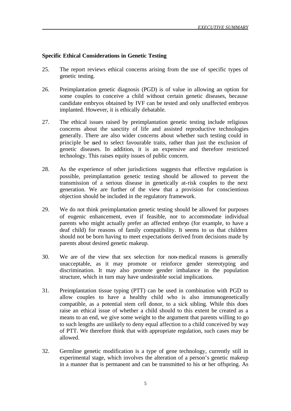#### **Specific Ethical Considerations in Genetic Testing**

- 25. The report reviews ethical concerns arising from the use of specific types of genetic testing.
- 26. Preimplantation genetic diagnosis (PGD) is of value in allowing an option for some couples to conceive a child without certain genetic diseases, because candidate embryos obtained by IVF can be tested and only unaffected embryos implanted. However, it is ethically debatable.
- 27. The ethical issues raised by preimplantation genetic testing include religious concerns about the sanctity of life and assisted reproductive technologies generally. There are also wider concerns about whether such testing could in principle be used to select favourable traits, rather than just the exclusion of genetic diseases. In addition, it is an expensive and therefore restricted technology. This raises equity issues of public concern.
- 28. As the experience of other jurisdictions suggests that effective regulation is possible, preimplantation genetic testing should be allowed to prevent the transmission of a serious disease in genetically at-risk couples to the next generation. We are further of the view that a provision for conscientious objection should be included in the regulatory framework.
- 29. We do not think preimplantation genetic testing should be allowed for purposes of eugenic enhancement, even if feasible, nor to accommodate individual parents who might actually prefer an affected embryo (for example, to have a deaf child) for reasons of family compatibility. It seems to us that children should not be born having to meet expectations derived from decisions made by parents about desired genetic makeup.
- 30. We are of the view that sex selection for non-medical reasons is generally unacceptable, as it may promote or reinforce gender stereotyping and discrimination. It may also promote gender imbalance in the population structure, which in turn may have undesirable social implications.
- 31. Preimplantation tissue typing (PTT) can be used in combination with PGD to allow couples to have a healthy child who is also immunogenetically compatible, as a potential stem cell donor, to a sick sibling. While this does raise an ethical issue of whether a child should to this extent be created as a means to an end, we give some weight to the argument that parents willing to go to such lengths are unlikely to deny equal affection to a child conceived by way of PTT. We therefore think that with appropriate regulation, such cases may be allowed.
- 32. Germline genetic modification is a type of gene technology, currently still in experimental stage, which involves the alteration of a person's genetic makeup in a manner that is permanent and can be transmitted to his or her offspring. As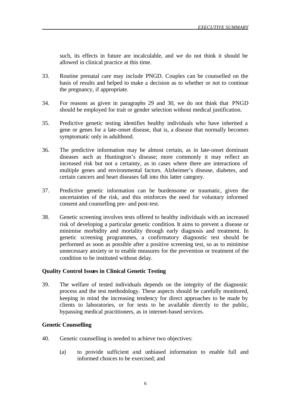such, its effects in future are incalculable, and we do not think it should be allowed in clinical practice at this time.

- 33. Routine prenatal care may include PNGD. Couples can be counselled on the basis of results and helped to make a decision as to whether or not to continue the pregnancy, if appropriate.
- 34. For reasons as given in paragraphs 29 and 30, we do not think that PNGD should be employed for trait or gender selection without medical justification.
- 35. Predictive genetic testing identifies healthy individuals who have inherited a gene or genes for a late-onset disease, that is, a disease that normally becomes symptomatic only in adulthood.
- 36. The predictive information may be almost certain, as in late-onset dominant diseases such as Huntington's disease; more commonly it may reflect an increased risk but not a certainty, as in cases where there are interactions of multiple genes and environmental factors. Alzheimer's disease, diabetes, and certain cancers and heart diseases fall into this latter category.
- 37. Predictive genetic information can be burdensome or traumatic, given the uncertainties of the risk, and this reinforces the need for voluntary informed consent and counselling pre- and post-test.
- 38. Genetic screening involves tests offered to healthy individuals with an increased risk of developing a particular genetic condition. It aims to prevent a disease or minimise morbidity and mortality through early diagnosis and treatment. In genetic screening programmes, a confirmatory diagnostic test should be performed as soon as possible after a positive screening test, so as to minimise unnecessary anxiety or to enable measures for the prevention or treatment of the condition to be instituted without delay.

#### **Quality Control Issues in Clinical Genetic Testing**

39. The welfare of tested individuals depends on the integrity of the diagnostic process and the test methodology. These aspects should be carefully monitored, keeping in mind the increasing tendency for direct approaches to be made by clients to laboratories, or for tests to be available directly to the public, bypassing medical practitioners, as in internet-based services.

#### **Genetic Counselling**

- 40. Genetic counselling is needed to achieve two objectives:
	- (a) to provide sufficient and unbiased information to enable full and informed choices to be exercised; and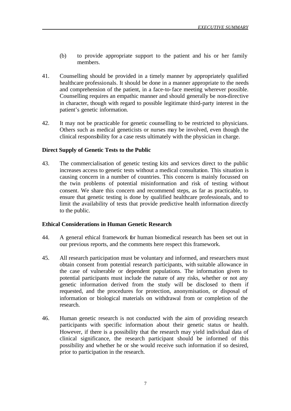- (b) to provide appropriate support to the patient and his or her family members.
- 41. Counselling should be provided in a timely manner by appropriately qualified healthcare professionals. It should be done in a manner appropriate to the needs and comprehension of the patient, in a face-to-face meeting wherever possible. Counselling requires an empathic manner and should generally be non-directive in character, though with regard to possible legitimate third-party interest in the patient's genetic information.
- 42. It may not be practicable for genetic counselling to be restricted to physicians. Others such as medical geneticists or nurses may be involved, even though the clinical responsibility for a case rests ultimately with the physician in charge.

#### **Direct Supply of Genetic Tests to the Public**

43. The commercialisation of genetic testing kits and services direct to the public increases access to genetic tests without a medical consultation. This situation is causing concern in a number of countries. This concern is mainly focussed on the twin problems of potential misinformation and risk of testing without consent. We share this concern and recommend steps, as far as practicable, to ensure that genetic testing is done by qualified healthcare professionals, and to limit the availability of tests that provide predictive health information directly to the public.

#### **Ethical Considerations in Human Genetic Research**

- 44. A general ethical framework for human biomedical research has been set out in our previous reports, and the comments here respect this framework.
- 45. All research participation must be voluntary and informed, and researchers must obtain consent from potential research participants, with suitable allowance in the case of vulnerable or dependent populations. The information given to potential participants must include the nature of any risks, whether or not any genetic information derived from the study will be disclosed to them if requested, and the procedures for protection, anonymisation, or disposal of information or biological materials on withdrawal from or completion of the research.
- 46. Human genetic research is not conducted with the aim of providing research participants with specific information about their genetic status or health. However, if there is a possibility that the research may yield individual data of clinical significance, the research participant should be informed of this possibility and whether he or she would receive such information if so desired, prior to participation in the research.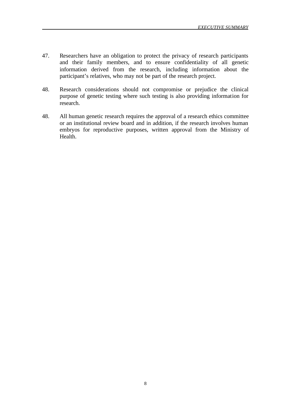- 47. Researchers have an obligation to protect the privacy of research participants and their family members, and to ensure confidentiality of all genetic information derived from the research, including information about the participant's relatives, who may not be part of the research project.
- 48. Research considerations should not compromise or prejudice the clinical purpose of genetic testing where such testing is also providing information for research.
- 48. All human genetic research requires the approval of a research ethics committee or an institutional review board and in addition, if the research involves human embryos for reproductive purposes, written approval from the Ministry of Health.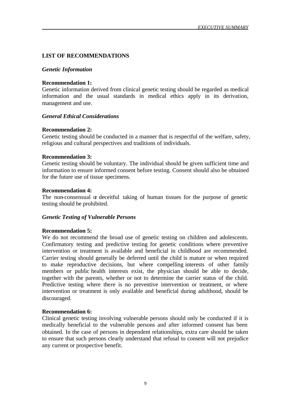#### **LIST OF RECOMMENDATIONS**

#### *Genetic Information*

#### **Recommendation 1:**

Genetic information derived from clinical genetic testing should be regarded as medical information and the usual standards in medical ethics apply in its derivation, management and use.

#### *General Ethical Considerations*

#### **Recommendation 2:**

Genetic testing should be conducted in a manner that is respectful of the welfare, safety, religious and cultural perspectives and traditions of individuals.

#### **Recommendation 3:**

Genetic testing should be voluntary. The individual should be given sufficient time and information to ensure informed consent before testing. Consent should also be obtained for the future use of tissue specimens.

#### **Recommendation 4:**

The non-consensual  $\alpha$  deceitful taking of human tissues for the purpose of genetic testing should be prohibited.

#### *Genetic Testing of Vulnerable Persons*

#### **Recommendation 5:**

We do not recommend the broad use of genetic testing on children and adolescents. Confirmatory testing and predictive testing for genetic conditions where preventive intervention or treatment is available and beneficial in childhood are recommended. Carrier testing should generally be deferred until the child is mature or when required to make reproductive decisions, but where compelling interests of other family members or public health interests exist, the physician should be able to decide, together with the parents, whether or not to determine the carrier status of the child. Predictive testing where there is no preventive intervention or treatment, or where intervention or treatment is only available and beneficial during adulthood, should be discouraged.

#### **Recommendation 6:**

Clinical genetic testing involving vulnerable persons should only be conducted if it is medically beneficial to the vulnerable persons and after informed consent has been obtained. In the case of persons in dependent relationships, extra care should be taken to ensure that such persons clearly understand that refusal to consent will not prejudice any current or prospective benefit.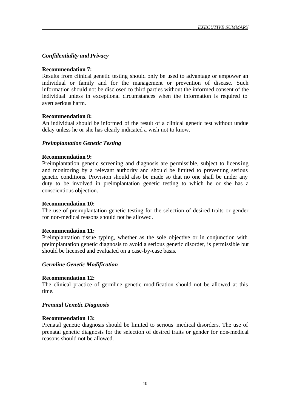#### *Confidentiality and Privacy*

#### **Recommendation 7:**

Results from clinical genetic testing should only be used to advantage or empower an individual or family and for the management or prevention of disease. Such information should not be disclosed to third parties without the informed consent of the individual unless in exceptional circumstances when the information is required to avert serious harm.

#### **Recommendation 8:**

An individual should be informed of the result of a clinical genetic test without undue delay unless he or she has clearly indicated a wish not to know.

#### *Preimplantation Genetic Testing*

#### **Recommendation 9:**

Preimplantation genetic screening and diagnosis are permissible, subject to licensing and monitoring by a relevant authority and should be limited to preventing serious genetic conditions. Provision should also be made so that no one shall be under any duty to be involved in preimplantation genetic testing to which he or she has a conscientious objection.

#### **Recommendation 10:**

The use of preimplantation genetic testing for the selection of desired traits or gender for non-medical reasons should not be allowed.

#### **Recommendation 11:**

Preimplantation tissue typing, whether as the sole objective or in conjunction with preimplantation genetic diagnosis to avoid a serious genetic disorder, is permissible but should be licensed and evaluated on a case-by-case basis.

#### *Germline Genetic Modification*

#### **Recommendation 12:**

The clinical practice of germline genetic modification should not be allowed at this time.

#### *Prenatal Genetic Diagnosis*

#### **Recommendation 13:**

Prenatal genetic diagnosis should be limited to serious medical disorders. The use of prenatal genetic diagnosis for the selection of desired traits or gender for non-medical reasons should not be allowed.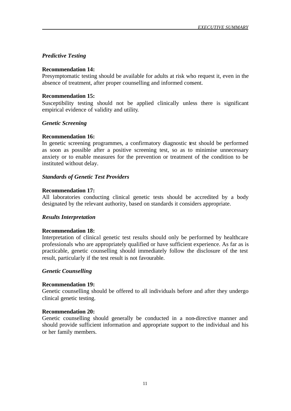#### *Predictive Testing*

#### **Recommendation 14:**

Presymptomatic testing should be available for adults at risk who request it, even in the absence of treatment, after proper counselling and informed consent.

#### **Recommendation 15:**

Susceptibility testing should not be applied clinically unless there is significant empirical evidence of validity and utility.

#### *Genetic Screening*

#### **Recommendation 16:**

In genetic screening programmes, a confirmatory diagnostic test should be performed as soon as possible after a positive screening test, so as to minimise unnecessary anxiety or to enable measures for the prevention or treatment of the condition to be instituted without delay.

#### *Standards of Genetic Test Providers*

#### **Recommendation 17:**

All laboratories conducting clinical genetic tests should be accredited by a body designated by the relevant authority, based on standards it considers appropriate.

#### *Results Interpretation*

#### **Recommendation 18:**

Interpretation of clinical genetic test results should only be performed by healthcare professionals who are appropriately qualified or have sufficient experience. As far as is practicable, genetic counselling should immediately follow the disclosure of the test result, particularly if the test result is not favourable.

#### *Genetic Counselling*

#### **Recommendation 19:**

Genetic counselling should be offered to all individuals before and after they undergo clinical genetic testing.

#### **Recommendation 20:**

Genetic counselling should generally be conducted in a non-directive manner and should provide sufficient information and appropriate support to the individual and his or her family members.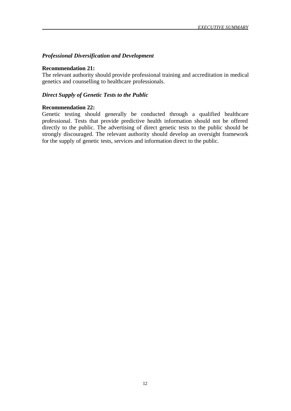#### *Professional Diversification and Development*

#### **Recommendation 21:**

The relevant authority should provide professional training and accreditation in medical genetics and counselling to healthcare professionals.

#### *Direct Supply of Genetic Tests to the Public*

#### **Recommendation 22:**

Genetic testing should generally be conducted through a qualified healthcare professional. Tests that provide predictive health information should not be offered directly to the public. The advertising of direct genetic tests to the public should be strongly discouraged. The relevant authority should develop an oversight framework for the supply of genetic tests, services and information direct to the public.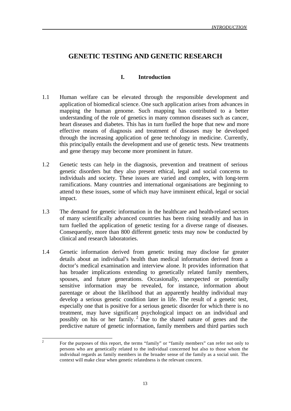#### **GENETIC TESTING AND GENETIC RESEARCH**

#### **I. Introduction**

- 1.1 Human welfare can be elevated through the responsible development and application of biomedical science. One such application arises from advances in mapping the human genome. Such mapping has contributed to a better understanding of the role of genetics in many common diseases such as cancer, heart diseases and diabetes. This has in turn fuelled the hope that new and more effective means of diagnosis and treatment of diseases may be developed through the increasing application of gene technology in medicine. Currently, this principally entails the development and use of genetic tests. New treatments and gene therapy may become more prominent in future.
- 1.2 Genetic tests can help in the diagnosis, prevention and treatment of serious genetic disorders but they also present ethical, legal and social concerns to individuals and society. These issues are varied and complex, with long-term ramifications. Many countries and international organisations are beginning to attend to these issues, some of which may have imminent ethical, legal or social impact.
- 1.3 The demand for genetic information in the healthcare and health-related sectors of many scientifically advanced countries has been rising steadily and has in turn fuelled the application of genetic testing for a diverse range of diseases. Consequently, more than 800 different genetic tests may now be conducted by clinical and research laboratories.
- 1.4 Genetic information derived from genetic testing may disclose far greater details about an individual's health than medical information derived from a doctor's medical examination and interview alone. It provides information that has broader implications extending to genetically related family members, spouses, and future generations. Occasionally, unexpected or potentially sensitive information may be revealed, for instance, information about parentage or about the likelihood that an apparently healthy individual may develop a serious genetic condition later in life. The result of a genetic test, especially one that is positive for a serious genetic disorder for which there is no treatment, may have significant psychological impact on an individual and possibly on his or her family.<sup>2</sup> Due to the shared nature of genes and the predictive nature of genetic information, family members and third parties such

 $\frac{1}{2}$ For the purposes of this report, the terms "family" or "family members" can refer not only to persons who are genetically related to the individual concerned but also to those whom the individual regards as family members in the broader sense of the family as a social unit. The context will make clear when genetic relatedness is the relevant concern.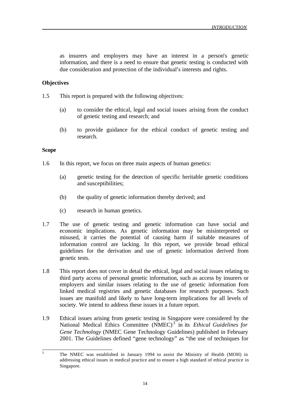as insurers and employers may have an interest in a person's genetic information, and there is a need to ensure that genetic testing is conducted with due consideration and protection of the individual's interests and rights.

#### **Objectives**

- 1.5 This report is prepared with the following objectives:
	- (a) to consider the ethical, legal and social issues arising from the conduct of genetic testing and research; and
	- (b) to provide guidance for the ethical conduct of genetic testing and research.

#### **Scope**

- 1.6 In this report, we focus on three main aspects of human genetics:
	- (a) genetic testing for the detection of specific heritable genetic conditions and susceptibilities;
	- (b) the quality of genetic information thereby derived; and
	- (c) research in human genetics.
- 1.7 The use of genetic testing and genetic information can have social and economic implications. As genetic information may be misinterpreted or misused, it carries the potential of causing harm if suitable measures of information control are lacking. In this report, we provide broad ethical guidelines for the derivation and use of genetic information derived from genetic tests.
- 1.8 This report does not cover in detail the ethical, legal and social issues relating to third party access of personal genetic information, such as access by insurers or employers and similar issues relating to the use of genetic information fom linked medical registries and genetic databases for research purposes. Such issues are manifold and likely to have long-term implications for all levels of society. We intend to address these issues in a future report.
- 1.9 Ethical issues arising from genetic testing in Singapore were considered by the National Medical Ethics Committee (NMEC)<sup>3</sup> in its *Ethical Guidelines for Gene Technology* (NMEC Gene Technology Guidelines) published in February 2001. The Guidelines defined "gene technology" as "the use of techniques for

 $\frac{1}{3}$ The NMEC was established in January 1994 to assist the Ministry of Health (MOH) in addressing ethical issues in medical practice and to ensure a high standard of ethical practice in Singapore.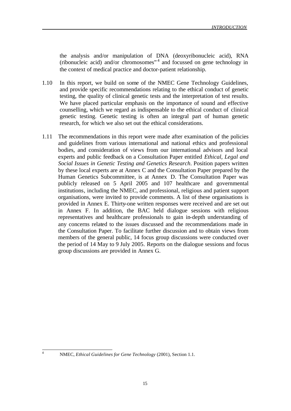the analysis and/or manipulation of DNA (deoxyribonucleic acid), RNA (ribonucleic acid) and/or chromosomes" <sup>4</sup> and focussed on gene technology in the context of medical practice and doctor-patient relationship.

- 1.10 In this report, we build on some of the NMEC Gene Technology Guidelines, and provide specific recommendations relating to the ethical conduct of genetic testing, the quality of clinical genetic tests and the interpretation of test results. We have placed particular emphasis on the importance of sound and effective counselling, which we regard as indispensable to the ethical conduct of clinical genetic testing. Genetic testing is often an integral part of human genetic research, for which we also set out the ethical considerations.
- 1.11 The recommendations in this report were made after examination of the policies and guidelines from various international and national ethics and professional bodies, and consideration of views from our international advisors and local experts and public feedback on a Consultation Paper entitled *Ethical, Legal and Social Issues in Genetic Testing and Genetics Research*. Position papers written by these local experts are at Annex C and the Consultation Paper prepared by the Human Genetics Subcommittee, is at Annex D. The Consultation Paper was publicly released on 5 April 2005 and 107 healthcare and governmental institutions, including the NMEC, and professional, religious and patient support organisations, were invited to provide comments. A list of these organisations is provided in Annex E. Thirty-one written responses were received and are set out in Annex F. In addition, the BAC held dialogue sessions with religious representatives and healthcare professionals to gain in-depth understanding of any concerns related to the issues discussed and the recommendations made in the Consultation Paper. To facilitate further discussion and to obtain views from members of the general public, 14 focus group discussions were conducted over the period of 14 May to 9 July 2005. Reports on the dialogue sessions and focus group discussions are provided in Annex G.

 $\overline{A}$ 

<sup>4</sup> NMEC, *Ethical Guidelines for Gene Technology* (2001), Section 1.1.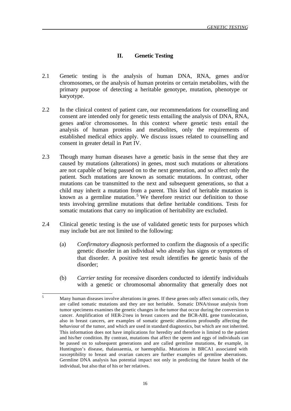#### **II. Genetic Testing**

- 2.1 Genetic testing is the analysis of human DNA, RNA, genes and/or chromosomes, or the analysis of human proteins or certain metabolites, with the primary purpose of detecting a heritable genotype, mutation, phenotype or karyotype.
- 2.2 In the clinical context of patient care, our recommendations for counselling and consent are intended only for genetic tests entailing the analysis of DNA, RNA, genes and/or chromosomes. In this context where genetic tests entail the analysis of human proteins and metabolites, only the requirements of established medical ethics apply. We discuss issues related to counselling and consent in greater detail in Part IV.
- 2.3 Though many human diseases have a genetic basis in the sense that they are caused by mutations (alterations) in genes, most such mutations or alterations are not capable of being passed on to the next generation, and so affect only the patient. Such mutations are known as somatic mutations. In contrast, other mutations can be transmitted to the next and subsequent generations, so that a child may inherit a mutation from a parent. This kind of heritable mutation is known as a germline mutation.<sup>5</sup> We therefore restrict our definition to those tests involving germline mutations that define heritable conditions. Tests for somatic mutations that carry no implication of heritability are excluded.
- 2.4 Clinical genetic testing is the use of validated genetic tests for purposes which may include but are not limited to the following:
	- (a) *Confirmatory diagnosis* performed to confirm the diagnosis of a specific genetic disorder in an individual who already has signs or symptoms of that disorder. A positive test result identifies the genetic basis of the disorder;
	- (b) *Carrier testing* for recessive disorders conducted to identify individuals with a genetic or chromosomal abnormality that generally does not

 $\overline{5}$ Many human diseases involve alterations in genes. If these genes only affect somatic cells, they are called somatic mutations and they are not heritable. Somatic DNA/tissue analysis from tumor specimens examines the genetic changes in the tumor that occur during the conversion to cancer. Amplification of HER-2/neu in breast cancers and the BCR-ABL gene translocation, also in breast cancers, are examples of somatic genetic alterations profoundly affecting the behaviour of the tumor, and which are used in standard diagnostics, but which are not inherited. This information does not have implications for heredity and therefore is limited to the patient and his/her condition. By contrast, mutations that affect the sperm and eggs of individuals can be passed on to subsequent generations and are called germline mutations, for example, in Huntington's disease, thalassaemia, or haemophilia. Mutations in BRCA1 associated with susceptibility to breast and ovarian cancers are further examples of germline aberrations. Germline DNA analysis has potential impact not only in predicting the future health of the individual, but also that of his or her relatives.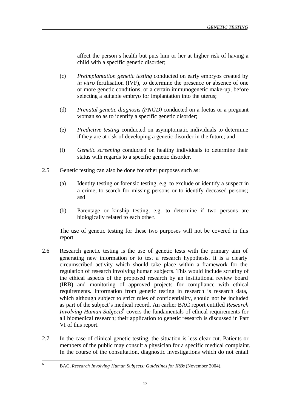affect the person's health but puts him or her at higher risk of having a child with a specific genetic disorder;

- (c) *Preimplantation genetic testing* conducted on early embryos created by *in vitro* fertilisation (IVF), to determine the presence or absence of one or more genetic conditions, or a certain immunogenetic make-up, before selecting a suitable embryo for implantation into the uterus;
- (d) *Prenatal genetic diagnosis (PNGD)* conducted on a foetus or a pregnant woman so as to identify a specific genetic disorder;
- (e) *Predictive testing* conducted on asymptomatic individuals to determine if they are at risk of developing a genetic disorder in the future; and
- (f) *Genetic screening* conducted on healthy individuals to determine their status with regards to a specific genetic disorder.
- 2.5 Genetic testing can also be done for other purposes such as:
	- (a) Identity testing or forensic testing, e.g. to exclude or identify a suspect in a crime, to search for missing persons or to identify deceased persons; and
	- (b) Parentage or kinship testing, e.g. to determine if two persons are biologically related to each other.

The use of genetic testing for these two purposes will not be covered in this report.

- 2.6 Research genetic testing is the use of genetic tests with the primary aim of generating new information or to test a research hypothesis. It is a clearly circumscribed activity which should take place within a framework for the regulation of research involving human subjects. This would include scrutiny of the ethical aspects of the proposed research by an institutional review board (IRB) and monitoring of approved projects for compliance with ethical requirements. Information from genetic testing in research is research data, which although subject to strict rules of confidentiality, should not be included as part of the subject's medical record. An earlier BAC report entitled *Research Involving Human Subjects*<sup>6</sup> covers the fundamentals of ethical requirements for all biomedical research; their application to genetic research is discussed in Part VI of this report.
- 2.7 In the case of clinical genetic testing, the situation is less clear cut. Patients or members of the public may consult a physician for a specific medical complaint. In the course of the consultation, diagnostic investigations which do not entail

<sup>6</sup> 

<sup>6</sup> BAC, *Research Involving Human Subjects: Guidelines for IRBs* (November 2004).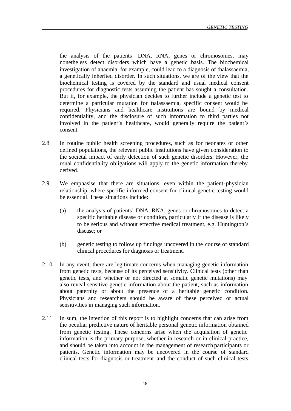the analysis of the patients' DNA, RNA, genes or chromosomes, may nonetheless detect disorders which have a genetic basis. The biochemical investigation of anaemia, for example, could lead to a diagnosis of thalassaemia, a genetically inherited disorder. In such situations, we are of the view that the biochemical testing is covered by the standard and usual medical consent procedures for diagnostic tests assuming the patient has sought a consultation. But if, for example, the physician decides to further include a genetic test to determine a particular mutation for thalassaemia, specific consent would be required. Physicians and healthcare institutions are bound by medical confidentiality, and the disclosure of such information to third parties not involved in the patient's healthcare, would generally require the patient's consent.

- 2.8 In routine public health screening procedures, such as for neonates or other defined populations, the relevant public institutions have given consideration to the societal impact of early detection of such genetic disorders. However, the usual confidentiality obligations will apply to the genetic information thereby derived.
- 2.9 We emphasise that there are situations, even within the patient-physician relationship, where specific informed consent for clinical genetic testing would be essential. These situations include:
	- (a) the analysis of patients' DNA, RNA, genes or chromosomes to detect a specific heritable disease or condition, particularly if the disease is likely to be serious and without effective medical treatment, e.g. Huntington's disease; or
	- (b) genetic testing to follow up findings uncovered in the course of standard clinical procedures for diagnosis or treatment.
- 2.10 In any event, there are legitimate concerns when managing genetic information from genetic tests, because of its perceived sensitivity. Clinical tests (other than genetic tests, and whether or not directed at somatic genetic mutations) may also reveal sensitive genetic information about the patient, such as information about paternity or about the presence of a heritable genetic condition. Physicians and researchers should be aware of these perceived or actual sensitivities in managing such information.
- 2.11 In sum, the intention of this report is to highlight concerns that can arise from the peculiar predictive nature of heritable personal genetic information obtained from genetic testing. These concerns arise when the acquisition of genetic information is the primary purpose, whether in research or in clinical practice, and should be taken into account in the management of research participants or patients. Genetic information may be uncovered in the course of standard clinical tests for diagnosis or treatment and the conduct of such clinical tests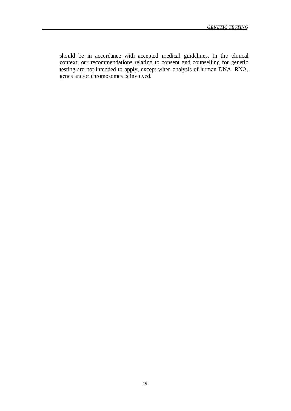should be in accordance with accepted medical guidelines. In the clinical context, our recommendations relating to consent and counselling for genetic testing are not intended to apply, except when analysis of human DNA, RNA, genes and/or chromosomes is involved.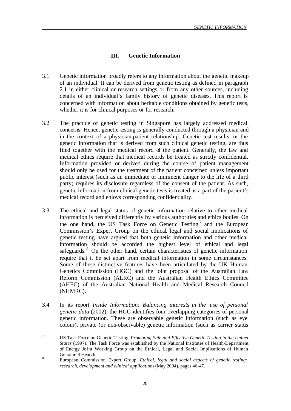#### **III. Genetic Information**

- 3.1 Genetic information broadly refers to any information about the genetic makeup of an individual. It can be derived from genetic testing as defined in paragraph 2.1 in either clinical or research settings or from any other sources, including details of an individual's family history of genetic diseases. This report is concerned with information about heritable conditions obtained by genetic tests, whether it is for clinical purposes or for research.
- 3.2 The practice of genetic testing in Singapore has largely addressed medical concerns. Hence, genetic testing is generally conducted through a physician and in the context of a physician-patient relationship. Genetic test results, or the genetic information that is derived from such clinical genetic testing, are thus filed together with the medical record of the patient. Generally, the law and medical ethics require that medical records be treated as strictly confidential. Information provided or derived during the course of patient management should only be used for the treatment of the patient concerned unless important public interest (such as an immediate or imminent danger to the life of a third party) requires its disclosure regardless of the consent of the patient. As such, genetic information from clinical genetic tests is treated as a part of the patient's medical record and enjoys corresponding confidentiality.
- 3.3 The ethical and legal status of genetic information relative to other medical information is perceived differently by various authorities and ethics bodies. On the one hand, the US Task Force on Genetic Testing<sup>7</sup> and the European Commission's Expert Group on the ethical, legal and social implications of genetic testing have argued that both genetic information and other medical information should be accorded the highest level of ethical and legal safeguards. <sup>8</sup> On the other hand, certain characteristics of genetic information require that it be set apart from medical information in some circumstances. Some of these distinctive features have been articulated by the UK Human Genetics Commission (HGC) and the joint proposal of the Australian Law Reform Commission (ALRC) and the Australian Health Ethics Committee (AHEC) of the Australian National Health and Medical Research Council (NHMRC).
- 3.4 In its report *Inside Information: Balancing interests in the use of personal genetic data* (2002), the HGC identifies four overlapping categories of personal genetic information. These are observable genetic information (such as eye colour), private (or non-observable) genetic information (such as carrier status

 $\overline{7}$ <sup>7</sup> US Task Force on Genetic Testing, *Promoting Safe and Effective Genetic Testing in the United States* (1997). The Task Force was established by the National Institutes of Health-Department of Energy Jo int Working Group on the Ethical, Legal and Social Implications of Human Genome Research. 8

European Commission Expert Group, *Ethical, legal and social aspects of genetic testing: research, development and clinical applications* (May 2004), pages 46-47.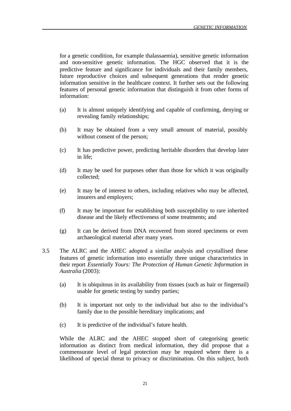for a genetic condition, for example thalassaemia), sensitive genetic information and non-sensitive genetic information. The HGC observed that it is the predictive feature and significance for individuals and their family members, future reproductive choices and subsequent generations that render genetic information sensitive in the healthcare context. It further sets out the following features of personal genetic information that distinguish it from other forms of information:

- (a) It is almost uniquely identifying and capable of confirming, denying or revealing family relationships;
- (b) It may be obtained from a very small amount of material, possibly without consent of the person:
- (c) It has predictive power, predicting heritable disorders that develop later in life;
- (d) It may be used for purposes other than those for which it was originally collected;
- (e) It may be of interest to others, including relatives who may be affected, insurers and employers;
- (f) It may be important for establishing both susceptibility to rare inherited disease and the likely effectiveness of some treatments; and
- (g) It can be derived from DNA recovered from stored specimens or even archaeological material after many years.
- 3.5 The ALRC and the AHEC adopted a similar analysis and crystallised these features of genetic information into essentially three unique characteristics in their report *Essentially Yours: The Protection of Human Genetic Information in Australia* (2003):
	- (a) It is ubiquitous in its availability from tissues (such as hair or fingernail) usable for genetic testing by sundry parties;
	- (b) It is important not only to the individual but also to the individual's family due to the possible hereditary implications; and
	- (c) It is predictive of the individual's future health.

While the ALRC and the AHEC stopped short of categorising genetic information as distinct from medical information, they did propose that a commensurate level of legal protection may be required where there is a likelihood of special threat to privacy or discrimination. On this subject, both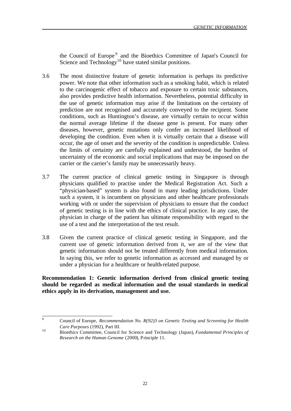the Council of Europe<sup>9</sup> and the Bioethics Committee of Japan's Council for Science and Technology<sup>10</sup> have stated similar positions.

- 3.6 The most distinctive feature of genetic information is perhaps its predictive power. We note that other information such as a smoking habit, which is related to the carcinogenic effect of tobacco and exposure to certain toxic substances, also provides predictive health information. Nevertheless, potential difficulty in the use of genetic information may arise if the limitations on the certainty of prediction are not recognised and accurately conveyed to the recipient. Some conditions, such as Huntington's disease, are virtually certain to occur within the normal average lifetime if the disease gene is present. For many other diseases, however, genetic mutations only confer an increased likelihood of developing the condition. Even when it is virtually certain that a disease will occur, the age of onset and the severity of the condition is unpredictable. Unless the limits of certainty are carefully explained and understood, the burden of uncertainty of the economic and social implications that may be imposed on the carrier or the carrier's family may be unnecessarily heavy.
- 3.7 The current practice of clinical genetic testing in Singapore is through physicians qualified to practise under the Medical Registration Act. Such a "physician-based" system is also found in many leading jurisdictions. Under such a system, it is incumbent on physicians and other healthcare professionals working with or under the supervision of physicians to ensure that the conduct of genetic testing is in line with the ethics of clinical practice. In any case, the physician in charge of the patient has ultimate responsibility with regard to the use of a test and the interpretation of the test result.
- 3.8 Given the current practice of clinical genetic testing in Singapore, and the current use of genetic information derived from it, we are of the view that genetic information should not be treated differently from medical information. In saying this, we refer to genetic information as accessed and managed by or under a physician for a healthcare or health-related purpose.

**Recommendation 1: Genetic information derived from clinical genetic testing should be regarded as medical information and the usual standards in medical ethics apply in its derivation, management and use.** 

 $\overline{9}$ <sup>9</sup> Council of Europe, *Recommendation No. R(92)3 on Genetic Testing and Screening for Health Care Purposes* (1992), Part III.

<sup>10</sup> Bioethics Committee, Council for Science and Technology (Japan), *Fundamental Principles of Research on the Human Genome* (2000), Principle 11.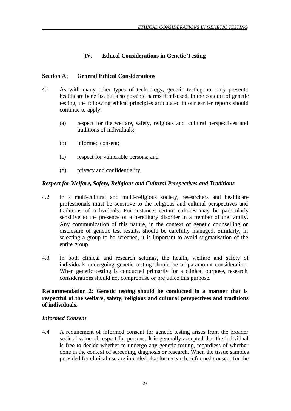#### **IV. Ethical Considerations in Genetic Testing**

#### **Section A: General Ethical Considerations**

- 4.1 As with many other types of technology, genetic testing not only presents healthcare benefits, but also possible harms if misused. In the conduct of genetic testing, the following ethical principles articulated in our earlier reports should continue to apply:
	- (a) respect for the welfare, safety, religious and cultural perspectives and traditions of individuals;
	- (b) informed consent;
	- (c) respect for vulnerable persons; and
	- (d) privacy and confidentiality.

#### *Respect for Welfare, Safety, Religious and Cultural Perspectives and Traditions*

- 4.2 In a multi-cultural and multi-religious society, researchers and healthcare professionals must be sensitive to the religious and cultural perspectives and traditions of individuals. For instance, certain cultures may be particularly sensitive to the presence of a hereditary disorder in a member of the family. Any communication of this nature, in the context of genetic counselling or disclosure of genetic test results, should be carefully managed. Similarly, in selecting a group to be screened, it is important to avoid stigmatisation of the entire group.
- 4.3 In both clinical and research settings, the health, welfare and safety of individuals undergoing genetic testing should be of paramount consideration. When genetic testing is conducted primarily for a clinical purpose, research considerations should not compromise or prejudice this purpose.

#### **Recommendation 2: Genetic testing should be conducted in a manner that is respectful of the welfare, safety, religious and cultural perspectives and traditions of individuals.**

#### *Informed Consent*

4.4 A requirement of informed consent for genetic testing arises from the broader societal value of respect for persons. It is generally accepted that the individual is free to decide whether to undergo any genetic testing, regardless of whether done in the context of screening, diagnosis or research. When the tissue samples provided for clinical use are intended also for research, informed consent for the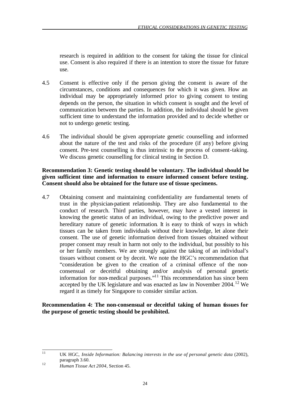research is required in addition to the consent for taking the tissue for clinical use. Consent is also required if there is an intention to store the tissue for future use.

- 4.5 Consent is effective only if the person giving the consent is aware of the circumstances, conditions and consequences for which it was given. How an individual may be appropriately informed prior to giving consent to testing depends on the person, the situation in which consent is sought and the level of communication between the parties. In addition, the individual should be given sufficient time to understand the information provided and to decide whether or not to undergo genetic testing.
- 4.6 The individual should be given appropriate genetic counselling and informed about the nature of the test and risks of the procedure (if any) before giving consent. Pre-test counselling is thus intrinsic to the process of consent-taking. We discuss genetic counselling for clinical testing in Section D.

#### **Recommendation 3: Genetic testing should be voluntary. The individual should be given sufficient time and information to ensure informed consent before testing. Consent should also be obtained for the future use of tissue specimens.**

4.7 Obtaining consent and maintaining confidentiality are fundamental tenets of trust in the physician-patient relationship. They are also fundamental to the conduct of research. Third parties, however, may have a vested interest in knowing the genetic status of an individual, owing to the predictive power and hereditary nature of genetic information. It is easy to think of ways in which tissues can be taken from individuals without the ir knowledge, let alone their consent. The use of genetic information derived from tissues obtained without proper consent may result in harm not only to the individual, but possibly to his or her family members. We are strongly against the taking of an individual's tissues without consent or by deceit. We note the HGC's recommendation that "consideration be given to the creation of a criminal offence of the nonconsensual or deceitful obtaining and/or analysis of personal genetic information for non-medical purposes."<sup>11</sup> This recommendation has since been accepted by the UK legislature and was enacted as law in November 2004.<sup>12</sup> We regard it as timely for Singapore to consider similar action.

#### **Recommendation 4: The non-consensual or deceitful taking of human tissues for the purpose of genetic testing should be prohibited.**

 $\overline{11}$ <sup>11</sup> UK HGC, *Inside Information: Balancing interests in the use of personal genetic data* (2002), paragraph 3.60.

<sup>12</sup> *Human Tissue Act 2004*, Section 45.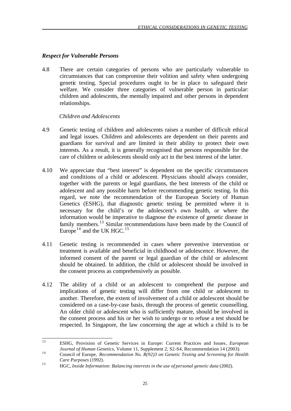#### *Respect for Vulnerable Persons*

4.8 There are certain categories of persons who are particularly vulnerable to circumstances that can compromise their volition and safety when undergoing genetic testing. Special procedures ought to be in place to safeguard their welfare. We consider three categories of vulnerable person in particular: children and adolescents, the mentally impaired and other persons in dependent relationships.

#### *Children and Adolescents*

- 4.9 Genetic testing of children and adolescents raises a number of difficult ethical and legal issues. Children and adolescents are dependent on their parents and guardians for survival and are limited in their ability to protect their own interests. As a result, it is generally recognised that persons responsible for the care of children or adolescents should only act in the best interest of the latter.
- 4.10 We appreciate that "best interest" is dependent on the specific circumstances and conditions of a child or adolescent. Physicians should always consider, together with the parents or legal guardians, the best interests of the child or adolescent and any possible harm before recommending genetic testing. In this regard, we note the recommendation of the European Society of Human Genetics (ESHG), that diagnostic genetic testing be permitted where it is necessary for the child's or the adolescent's own health, or where the information would be imperative to diagnose the existence of genetic disease in family members.<sup>13</sup> Similar recommendations have been made by the Council of Europe<sup>14</sup> and the UK HGC.<sup>15</sup>
- 4.11 Genetic testing is recommended in cases where preventive intervention or treatment is available and beneficial in childhood or adolescence. However, the informed consent of the parent or legal guardian of the child or adolescent should be obtained. In addition, the child or adolescent should be involved in the consent process as comprehensively as possible.
- 4.12 The ability of a child or an adolescent to comprehend the purpose and implications of genetic testing will differ from one child or adolescent to another. Therefore, the extent of involvement of a child or adolescent should be considered on a case-by-case basis, through the process of genetic counselling. An older child or adolescent who is sufficiently mature, should be involved in the consent process and his or her wish to undergo or to refuse a test should be respected. In Singapore, the law concerning the age at which a child is to be

 $\overline{13}$ <sup>13</sup> ESHG, Provision of Genetic Services in Europe: Current Practices and Issues, *European Journal of Human Genetics*, Volume 11, Supplement 2, S2-S4, Recommendation 14 (2003).

<sup>14</sup> Council of Europe, *Recommendation No. R(92)3 on Genetic Testing and Screening for Health Care Purposes* (1992).

<sup>15</sup> HGC, *Inside Information: Balancing interests in the use of personal genetic data* (2002).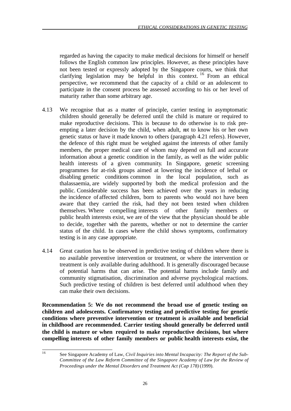regarded as having the capacity to make medical decisions for himself or herself follows the English common law principles. However, as these principles have not been tested or expressly adopted by the Singapore courts, we think that clarifying legislation may be helpful in this context. <sup>16</sup> From an ethical perspective, we recommend that the capacity of a child or an adolescent to participate in the consent process be assessed according to his or her level of maturity rather than some arbitrary age.

- 4.13 We recognise that as a matter of principle, carrier testing in asymptomatic children should generally be deferred until the child is mature or required to make reproductive decisions. This is because to do otherwise is to risk preempting a later decision by the child, when adult, not to know his or her own genetic status or have it made known to others (paragraph 4.21 refers). However, the defence of this right must be weighed against the interests of other family members, the proper medical care of whom may depend on full and accurate information about a genetic condition in the family, as well as the wider public health interests of a given community. In Singapore, genetic screening programmes for at-risk groups aimed at lowering the incidence of lethal or disabling genetic conditions common in the local population, such as thalassaemia, are widely supported by both the medical profession and the public. Considerable success has been achieved over the years in reducing the incidence of affected children, born to parents who would not have been aware that they carried the risk, had they not been tested when children themselves. Where compelling interests of other family members or public health interests exist, we are of the view that the physician should be able to decide, together with the parents, whether or not to determine the carrier status of the child. In cases where the child shows symptoms, confirmatory testing is in any case appropriate.
- 4.14 Great caution has to be observed in predictive testing of children where there is no available preventive intervention or treatment, or where the intervention or treatment is only available during adulthood. It is generally discouraged because of potential harms that can arise. The potential harms include family and community stigmatisation, discrimination and adverse psychological reactions. Such predictive testing of children is best deferred until adulthood when they can make their own decisions.

**Recommendation 5: We do not recommend the broad use of genetic testing on children and adolescents. Confirmatory testing and predictive testing for genetic conditions where preventive intervention or treatment is available and beneficial in childhood are recommended. Carrier testing should generally be deferred until the child is mature or when required to make reproductive decisions, but where compelling interests of other family members or public health interests exist, the** 

 $\overline{16}$ See Singapore Academy of Law, *Civil Inquiries into Mental Incapacity: The Report of the Sub-Committee of the Law Reform Committee of the Singapore Academy of Law for the Review of Proceedings under the Mental Disorders and Treatment Act (Cap 178)* (1999).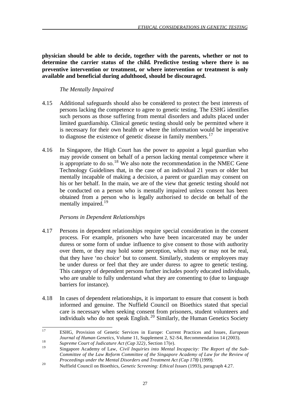**physician should be able to decide, together with the parents, whether or not to determine the carrier status of the child. Predictive testing where there is no preventive intervention or treatment, or where intervention or treatment is only available and beneficial during adulthood, should be discouraged.** 

#### *The Mentally Impaired*

- 4.15 Additional safeguards should also be considered to protect the best interests of persons lacking the competence to agree to genetic testing. The ESHG identifies such persons as those suffering from mental disorders and adults placed under limited guardianship. Clinical genetic testing should only be permitted where it is necessary for their own health or where the information would be imperative to diagnose the existence of genetic disease in family members.<sup>17</sup>
- 4.16 In Singapore, the High Court has the power to appoint a legal guardian who may provide consent on behalf of a person lacking mental competence where it is appropriate to do so.<sup>18</sup> We also note the recommendation in the NMEC Gene Technology Guidelines that, in the case of an individual 21 years or older but mentally incapable of making a decision, a parent or guardian may consent on his or her behalf. In the main, we are of the view that genetic testing should not be conducted on a person who is mentally impaired unless consent has been obtained from a person who is legally authorised to decide on behalf of the mentally impaired.<sup>19</sup>

#### *Persons in Dependent Relationships*

- 4.17 Persons in dependent relationships require special consideration in the consent process. For example, prisoners who have been incarcerated may be under duress or some form of undue influence to give consent to those with authority over them, or they may hold some perception, which may or may not be real, that they have 'no choice' but to consent. Similarly, students or employees may be under duress or feel that they are under duress to agree to genetic testing. This category of dependent persons further includes poorly educated individuals, who are unable to fully understand what they are consenting to (due to language barriers for instance).
- 4.18 In cases of dependent relationships, it is important to ensure that consent is both informed and genuine. The Nuffield Council on Bioethics stated that special care is necessary when seeking consent from prisoners, student volunteers and individuals who do not speak English.<sup>20</sup> Similarly, the Human Genetics Society

 $\overline{17}$ <sup>17</sup> ESHG, Provision of Genetic Services in Europe: Current Practices and Issues, *European Journal of Human Genetics*, Volume 11, Supplement 2, S2-S4, Recommendation 14 (2003).

<sup>&</sup>lt;sup>18</sup> *Supreme Court of Judicature Act (Cap 322)*, Section 17(e).

Singapore Academy of Law, *Civil Inquiries into Mental Incapacity: The Report of the Sub-Committee of the Law Reform Committee of the Singapore Academy of Law for the Review of Proceedings under the Mental Disorders and Treatment Act (Cap 178)* (1999).

<sup>20</sup> Nuffield Council on Bioethics, *Genetic Screening: Ethical Issues* (1993), paragraph 4.27.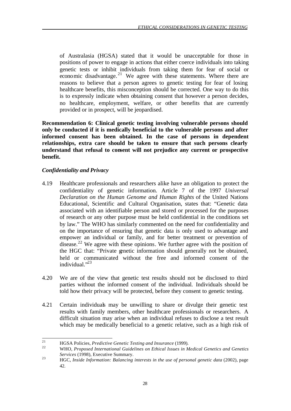of Australasia (HGSA) stated that it would be unacceptable for those in positions of power to engage in actions that either coerce individuals into taking genetic tests or inhibit individuals from taking them for fear of social or economic disadvantage.<sup>21</sup> We agree with these statements. Where there are reasons to believe that a person agrees to genetic testing for fear of losing healthcare benefits, this misconception should be corrected. One way to do this is to expressly indicate when obtaining consent that however a person decides, no healthcare, employment, welfare, or other benefits that are currently provided or in prospect, will be jeopardised.

**Recommendation 6: Clinical genetic testing involving vulnerable persons should only be conducted if it is medically beneficial to the vulnerable persons and after informed consent has been obtained. In the case of persons in dependent relationships, extra care should be taken to ensure that such persons clearly understand that refusal to consent will not prejudice any current or prospective benefit.** 

#### *Confidentiality and Privacy*

- 4.19 Healthcare professionals and researchers alike have an obligation to protect the confidentiality of genetic information. Article 7 of the 1997 *Universal Declaration on the Human Genome and Human Rights* of the United Nations Educational, Scientific and Cultural Organisation, states that: "Genetic data associated with an identifiable person and stored or processed for the purposes of research or any other purpose must be held confidential in the conditions set by law." The WHO has similarly commented on the need for confidentiality and on the importance of ensuring that genetic data is only used to advantage and empower an individual or family, and for better treatment or prevention of disease.<sup>22</sup> We agree with these opinions. We further agree with the position of the HGC that: "Private genetic information should generally not be obtained, held or communicated without the free and informed consent of the individual."<sup>23</sup>
- 4.20 We are of the view that genetic test results should not be disclosed to third parties without the informed consent of the individual. Individuals should be told how their privacy will be protected, before they consent to genetic testing.
- 4.21 Certain individuals may be unwilling to share or divulge their genetic test results with family members, other healthcare professionals or researchers. A difficult situation may arise when an individual refuses to disclose a test result which may be medically beneficial to a genetic relative, such as a high risk of

 $\overline{21}$ <sup>21</sup> HGSA Policies, *Predictive Genetic Testing and Insurance* (1999).

<sup>22</sup> WHO, *Proposed International Guidelines on Ethical Issues in Medical Genetics and Genetics Services* (1998), Executive Summary.

<sup>23</sup> HGC, *Inside Information: Balancing interests in the use of personal genetic data* (2002), page 42.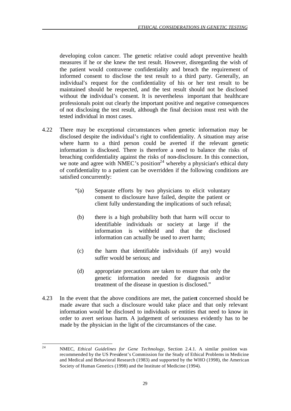developing colon cancer. The genetic relative could adopt preventive health measures if he or she knew the test result. However, disregarding the wish of the patient would contravene confidentiality and breach the requirement of informed consent to disclose the test result to a third party. Generally, an individual's request for the confidentiality of his or her test result to be maintained should be respected, and the test result should not be disclosed without the individual's consent. It is nevertheless important that healthcare professionals point out clearly the important positive and negative consequences of not disclosing the test result, although the final decision must rest with the tested individual in most cases.

- 4.22 There may be exceptional circumstances when genetic information may be disclosed despite the individual's right to confidentiality. A situation may arise where harm to a third person could be averted if the relevant genetic information is disclosed. There is therefore a need to balance the risks of breaching confidentiality against the risks of non-disclosure. In this connection, we note and agree with NMEC's position<sup>24</sup> whereby a physician's ethical duty of confidentiality to a patient can be overridden if the following conditions are satisfied concurrently:
	- "(a) Separate efforts by two physicians to elicit voluntary consent to disclosure have failed, despite the patient or client fully understanding the implications of such refusal;
	- (b) there is a high probability both that harm will occur to identifiable individuals or society at large if the information is withheld and that the disclosed information can actually be used to avert harm;
	- (c) the harm that identifiable individuals (if any) would suffer would be serious; and
	- (d) appropriate precautions are taken to ensure that only the genetic information needed for diagnosis and/or treatment of the disease in question is disclosed."
- 4.23 In the event that the above conditions are met, the patient concerned should be made aware that such a disclosure would take place and that only relevant information would be disclosed to individuals or entities that need to know in order to avert serious harm. A judgement of seriousness evidently has to be made by the physician in the light of the circumstances of the case.

 $24$ <sup>24</sup> NMEC, *Ethical Guidelines for Gene Technology*, Section 2.4.1. A similar position was recommended by the US President's Commission for the Study of Ethical Problems in Medicine and Medical and Behavioral Research (1983) and supported by the WHO (1998), the American Society of Human Genetics (1998) and the Institute of Medicine (1994).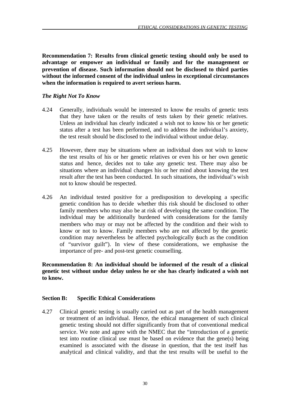**Recommendation 7: Results from clinical genetic testing should only be used to advantage or empower an individual or family and for the management or prevention of disease. Such information should not be disclosed to third parties without the informed consent of the individual unless in exceptional circumstances when the information is required to avert serious harm.** 

#### *The Right Not To Know*

- 4.24 Generally, individuals would be interested to know the results of genetic tests that they have taken or the results of tests taken by their genetic relatives. Unless an individual has clearly indicated a wish not to know his or her genetic status after a test has been performed, and to address the individua l's anxiety, the test result should be disclosed to the individual without undue delay.
- 4.25 However, there may be situations where an individual does not wish to know the test results of his or her genetic relatives or even his or her own genetic status and hence, decides not to take any genetic test. There may also be situations where an individual changes his or her mind about knowing the test result after the test has been conducted. In such situations, the individual's wish not to know should be respected.
- 4.26 An individual tested positive for a predisposition to developing a specific genetic condition has to decide whether this risk should be disclosed to other family members who may also be at risk of developing the same condition. The individual may be additionally burdened with considerations for the family members who may or may not be affected by the condition and their wish to know or not to know. Family members who are not affected by the genetic condition may nevertheless be affected psychologically (such as the condition of "survivor guilt"). In view of these considerations, we emphasise the importance of pre- and post-test genetic counselling.

#### **Recommendation 8: An individual should be informed of the result of a clinical genetic test without undue delay unless he or she has clearly indicated a wish not to know.**

#### **Section B: Specific Ethical Considerations**

4.27 Clinical genetic testing is usually carried out as part of the health management or treatment of an individual. Hence, the ethical management of such clinical genetic testing should not differ significantly from that of conventional medical service. We note and agree with the NMEC that the "introduction of a genetic test into routine clinical use must be based on evidence that the gene(s) being examined is associated with the disease in question, that the test itself has analytical and clinical validity, and that the test results will be useful to the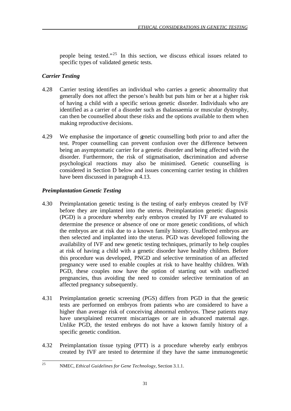people being tested."<sup>25</sup> In this section, we discuss ethical issues related to specific types of validated genetic tests.

#### *Carrier Testing*

- 4.28 Carrier testing identifies an individual who carries a genetic abnormality that generally does not affect the person's health but puts him or her at a higher risk of having a child with a specific serious genetic disorder. Individuals who are identified as a carrier of a disorder such as thalassaemia or muscular dystrophy, can then be counselled about these risks and the options available to them when making reproductive decisions.
- 4.29 We emphasise the importance of genetic counselling both prior to and after the test. Proper counselling can prevent confusion over the difference between being an asymptomatic carrier for a genetic disorder and being affected with the disorder. Furthermore, the risk of stigmatisation, discrimination and adverse psychological reactions may also be minimised. Genetic counselling is considered in Section D below and issues concerning carrier testing in children have been discussed in paragraph 4.13.

#### *Preimplantation Genetic Testing*

- 4.30 Preimplantation genetic testing is the testing of early embryos created by IVF before they are implanted into the uterus. Preimplantation genetic diagnosis (PGD) is a procedure whereby early embryos created by IVF are evaluated to determine the presence or absence of one or more genetic conditions, of which the embryos are at risk due to a known family history. Unaffected embryos are then selected and implanted into the uterus. PGD was developed following the availability of IVF and new genetic testing techniques, primarily to help couples at risk of having a child with a genetic disorder have healthy children. Before this procedure was developed, PNGD and selective termination of an affected pregnancy were used to enable couples at risk to have healthy children. With PGD, these couples now have the option of starting out with unaffected pregnancies, thus avoiding the need to consider selective termination of an affected pregnancy subsequently.
- 4.31 Preimplantation genetic screening (PGS) differs from PGD in that the genetic tests are performed on embryos from patients who are considered to have a higher than average risk of conceiving abnormal embryos. These patients may have unexplained recurrent miscarriages or are in advanced maternal age. Unlike PGD, the tested embryos do not have a known family history of a specific genetic condition.
- 4.32 Preimplantation tissue typing (PTT) is a procedure whereby early embryos created by IVF are tested to determine if they have the same immunogenetic

<sup>25</sup> <sup>25</sup> NMEC, *Ethical Guidelines for Gene Technology*, Section 3.1.1.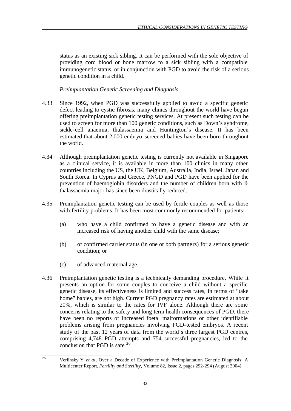status as an existing sick sibling. It can be performed with the sole objective of providing cord blood or bone marrow to a sick sibling with a compatible immunogenetic status, or in conjunction with PGD to avoid the risk of a serious genetic condition in a child.

*Preimplantation Genetic Screening and Diagnosis*

- 4.33 Since 1992, when PGD was successfully applied to avoid a specific genetic defect leading to cystic fibrosis, many clinics throughout the world have begun offering preimplantation genetic testing services. At present such testing can be used to screen for more than 100 genetic conditions, such as Down's syndrome, sickle-cell anaemia, thalassaemia and Huntington's disease. It has been estimated that about 2,000 embryo-screened babies have been born throughout the world.
- 4.34 Although preimplantation genetic testing is currently not available in Singapore as a clinical service, it is available in more than 100 clinics in many other countries including the US, the UK, Belgium, Australia, India, Israel, Japan and South Korea. In Cyprus and Greece, PNGD and PGD have been applied for the prevention of haemoglobin disorders and the number of children born with ßthalassaemia major has since been drastically reduced.
- 4.35 Preimplantation genetic testing can be used by fertile couples as well as those with fertility problems. It has been most commonly recommended for patients:
	- (a) who have a child confirmed to have a genetic disease and with an increased risk of having another child with the same disease;
	- (b) of confirmed carrier status (in one or both partners) for a serious genetic condition; or
	- (c) of advanced maternal age.
- 4.36 Preimplantation genetic testing is a technically demanding procedure. While it presents an option for some couples to conceive a child without a specific genetic disease, its effectiveness is limited and success rates, in terms of "take home" babies, are not high. Current PGD pregnancy rates are estimated at about 20%, which is similar to the rates for IVF alone. Although there are some concerns relating to the safety and long-term health consequences of PGD, there have been no reports of increased foetal malformations or other identifiable problems arising from pregnancies involving PGD-tested embryos. A recent study of the past 12 years of data from the world's three largest PGD centres, comprising 4,748 PGD attempts and 754 successful pregnancies, led to the conclusion that PGD is safe.  $26$

 $\overline{26}$ <sup>26</sup> Verlinsky Y *et al*, Over a Decade of Experience with Preimplantation Genetic Diagnosis: A Multicenter Report, *Fertility and Sterility,* Volume 82, Issue 2, pages 292-294 (August 2004).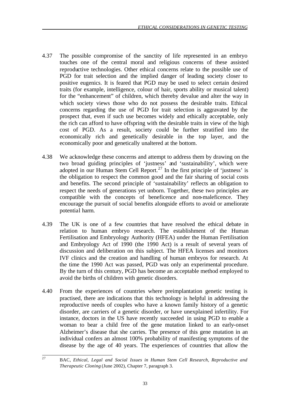- 4.37 The possible compromise of the sanctity of life represented in an embryo touches one of the central moral and religious concerns of these assisted reproductive technologies. Other ethical concerns relate to the possible use of PGD for trait selection and the implied danger of leading society closer to positive eugenics. It is feared that PGD may be used to select certain desired traits (for example, intelligence, colour of hair, sports ability or musical talent) for the "enhancement" of children, which thereby devalue and alter the way in which society views those who do not possess the desirable traits. Ethical concerns regarding the use of PGD for trait selection is aggravated by the prospect that, even if such use becomes widely and ethically acceptable, only the rich can afford to have offspring with the desirable traits in view of the high cost of PGD. As a result, society could be further stratified into the economically rich and genetically desirable in the top layer, and the economically poor and genetically unaltered at the bottom.
- 4.38 We acknowledge these concerns and attempt to address them by drawing on the two broad guiding principles of 'justness' and 'sustainability', which were adopted in our Human Stem Cell Report.<sup>27</sup> In the first principle of 'justness' is the obligation to respect the common good and the fair sharing of social costs and benefits. The second principle of 'sustainability' reflects an obligation to respect the needs of generations yet unborn. Together, these two principles are compatible with the concepts of beneficence and non-maleficence. They encourage the pursuit of social benefits alongside efforts to avoid or ameliorate potential harm.
- 4.39 The UK is one of a few countries that have resolved the ethical debate in relation to human embryo research. The establishment of the Human Fertilisation and Embryology Authority (HFEA) under the Human Fertilisation and Embryology Act of 1990 (the 1990 Act) is a result of several years of discussion and deliberation on this subject. The HFEA licenses and monitors IVF clinics and the creation and handling of human embryos for research. At the time the 1990 Act was passed, PGD was only an experimental procedure. By the turn of this century, PGD has become an acceptable method employed to avoid the births of children with genetic disorders.
- 4.40 From the experiences of countries where preimplantation genetic testing is practised, there are indications that this technology is helpful in addressing the reproductive needs of couples who have a known family history of a genetic disorder, are carriers of a genetic disorder, or have unexplained infertility. For instance, doctors in the US have recently succeeded in using PGD to enable a woman to bear a child free of the gene mutation linked to an early-onset Alzheimer's disease that she carries. The presence of this gene mutation in an individual confers an almost 100% probability of manifesting symptoms of the disease by the age of 40 years. The experiences of countries that allow the

27

BAC, *Ethical, Legal and Social Issues in Human Stem Cell Research, Reproductive and Therapeutic Cloning* (June 2002), Chapter 7, paragraph 3.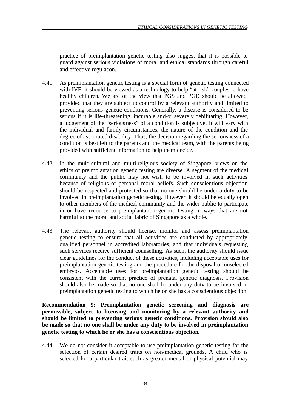practice of preimplantation genetic testing also suggest that it is possible to guard against serious violations of moral and ethical standards through careful and effective regulation.

- 4.41 As preimplantation genetic testing is a special form of genetic testing connected with IVF, it should be viewed as a technology to help "at-risk" couples to have healthy children. We are of the view that PGS and PGD should be allowed, provided that they are subject to control by a relevant authority and limited to preventing serious genetic conditions. Generally, a disease is considered to be serious if it is life-threatening, incurable and/or severely debilitating. However, a judgement of the "seriousness" of a condition is subjective. It will vary with the individual and family circumstances, the nature of the condition and the degree of associated disability. Thus, the decision regarding the seriousness of a condition is best left to the parents and the medical team, with the parents being provided with sufficient information to help them decide.
- 4.42 In the multi-cultural and multi-religious society of Singapore, views on the ethics of preimplantation genetic testing are diverse. A segment of the medical community and the public may not wish to be involved in such activities because of religious or personal moral beliefs. Such conscientious objection should be respected and protected so that no one should be under a duty to be involved in preimplantation genetic testing. However, it should be equally open to other members of the medical community and the wider public to participate in or have recourse to preimplantation genetic testing in ways that are not harmful to the moral and social fabric of Singapore as a whole.
- 4.43 The relevant authority should license, monitor and assess preimplantation genetic testing to ensure that all activities are conducted by appropriately qualified personnel in accredited laboratories, and that individuals requesting such services receive sufficient counselling. As such, the authority should issue clear guidelines for the conduct of these activities, including acceptable uses for preimplantation genetic testing and the procedure for the disposal of unselected embryos. Acceptable uses for preimplantation genetic testing should be consistent with the current practice of prenatal genetic diagnosis. Provision should also be made so that no one shall be under any duty to be involved in preimplantation genetic testing to which he or she has a conscientious objection.

**Recommendation 9: Preimplantation genetic screening and diagnosis are permissible, subject to licensing and monitoring by a relevant authority and should be limited to preventing serious genetic conditions. Provision should also be made so that no one shall be under any duty to be involved in preimplantation genetic testing to which he or she has a conscientious objection**.

4.44 We do not consider it acceptable to use preimplantation genetic testing for the selection of certain desired traits on non-medical grounds. A child who is selected for a particular trait such as greater mental or physical potential may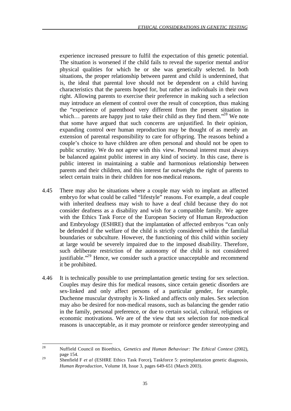experience increased pressure to fulfil the expectation of this genetic potential. The situation is worsened if the child fails to reveal the superior mental and/or physical qualities for which he or she was genetically selected. In both situations, the proper relationship between parent and child is undermined, that is, the ideal that parental love should not be dependent on a child having characteristics that the parents hoped for, but rather as individuals in their own right. Allowing parents to exercise their preference in making such a selection may introduce an element of control over the result of conception, thus making the "experience of parenthood very different from the present situation in which... parents are happy just to take their child as they find them.<sup> $28$ </sup> We note that some have argued that such concerns are unjustified. In their opinion, expanding control over human reproduction may be thought of as merely an extension of parental responsibility to care for offspring. The reasons behind a couple's choice to have children are often personal and should not be open to public scrutiny. We do not agree with this view. Personal interest must always be balanced against public interest in any kind of society. In this case, there is public interest in maintaining a stable and harmonious relationship between parents and their children, and this interest far outweighs the right of parents to select certain traits in their children for non-medical reasons.

- 4.45 There may also be situations where a couple may wish to implant an affected embryo for what could be called "lifestyle" reasons. For example, a deaf couple with inherited deafness may wish to have a deaf child because they do not consider deafness as a disability and wish for a compatible family. We agree with the Ethics Task Force of the European Society of Human Reproduction and Embryology (ESHRE) that the implantation of affected embryos "can only be defended if the welfare of the child is strictly considered within the familial boundaries or subculture. However, the functioning of this child within society at large would be severely impaired due to the imposed disability. Therefore, such deliberate restriction of the autonomy of the child is not considered justifiable."<sup>29</sup> Hence, we consider such a practice unacceptable and recommend it be prohibited.
- 4.46 It is technically possible to use preimplantation genetic testing for sex selection. Couples may desire this for medical reasons, since certain genetic disorders are sex-linked and only affect persons of a particular gender, for example, Duchenne muscular dystrophy is X-linked and affects only males. Sex selection may also be desired for non-medical reasons, such as balancing the gender ratio in the family, personal preference, or due to certain social, cultural, religious or economic motivations. We are of the view that sex selection for non-medical reasons is unacceptable, as it may promote or reinforce gender stereotyping and

 $28$ <sup>28</sup> Nuffield Council on Bioethics, *Genetics and Human Behaviour: The Ethical Context* (2002), page 154.

<sup>&</sup>lt;sup>29</sup> Shenfield F *et al* (ESHRE Ethics Task Force), Taskforce 5: preimplantation genetic diagnosis, *Human Reproduction*, Volume 18, Issue 3, pages 649-651 (March 2003).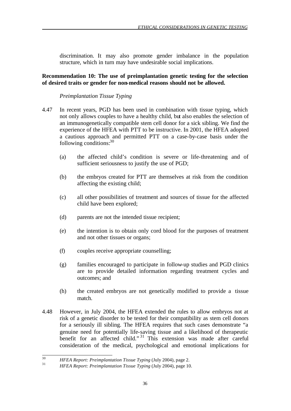discrimination. It may also promote gender imbalance in the population structure, which in turn may have undesirable social implications.

#### **Recommendation 10: The use of preimplantation genetic testing for the selection of desired traits or gender for non-medical reasons should not be allowed.**

#### *Preimplantation Tissue Typing*

- 4.47 In recent years, PGD has been used in combination with tissue typing, which not only allows couples to have a healthy child, but also enables the selection of an immunogenetically compatible stem cell donor for a sick sibling. We find the experience of the HFEA with PTT to be instructive. In 2001, the HFEA adopted a cautious approach and permitted PTT on a case-by-case basis under the following conditions: $30$ 
	- (a) the affected child's condition is severe or life-threatening and of sufficient seriousness to justify the use of PGD;
	- (b) the embryos created for PTT are themselves at risk from the condition affecting the existing child;
	- (c) all other possibilities of treatment and sources of tissue for the affected child have been explored;
	- (d) parents are not the intended tissue recipient;
	- (e) the intention is to obtain only cord blood for the purposes of treatment and not other tissues or organs;
	- (f) couples receive appropriate counselling;
	- (g) families encouraged to participate in follow-up studies and PGD clinics are to provide detailed information regarding treatment cycles and outcomes; and
	- (h) the created embryos are not genetically modified to provide a tissue match.
- 4.48 However, in July 2004, the HFEA extended the rules to allow embryos not at risk of a genetic disorder to be tested for their compatibility as stem cell donors for a seriously ill sibling. The HFEA requires that such cases demonstrate "a genuine need for potentially life-saving tissue and a likelihood of therapeutic benefit for an affected child."<sup>31</sup> This extension was made after careful consideration of the medical, psychological and emotional implications for

 $30^{\circ}$ <sup>30</sup> *HFEA Report: Preimplantation Tissue Typing* (July 2004), page 2.

<sup>31</sup> *HFEA Report: Preimplantation Tissue Typing* (July 2004), page 10.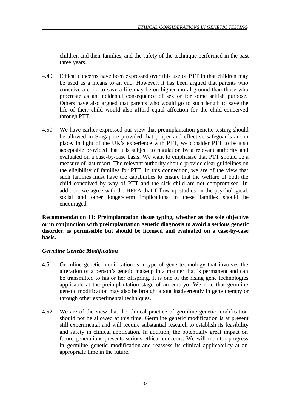children and their families, and the safety of the technique performed in the past three years.

- 4.49 Ethical concerns have been expressed over this use of PTT in that children may be used as a means to an end. However, it has been argued that parents who conceive a child to save a life may be on higher moral ground than those who procreate as an incidental consequence of sex or for some selfish purpose. Others have also argued that parents who would go to such length to save the life of their child would also afford equal affection for the child conceived through PTT.
- 4.50 We have earlier expressed our view that preimplantation genetic testing should be allowed in Singapore provided that proper and effective safeguards are in place. In light of the UK's experience with PTT, we consider PTT to be also acceptable provided that it is subject to regulation by a relevant authority and evaluated on a case-by-case basis. We want to emphasise that PTT should be a measure of last resort. The relevant authority should provide clear guidelines on the eligibility of families for PTT. In this connection, we are of the view that such families must have the capabilities to ensure that the welfare of both the child conceived by way of PTT and the sick child are not compromised. In addition, we agree with the HFEA that follow-up studies on the psychological, social and other longer-term implications in these families should be encouraged.

**Recommendation 11: Preimplantation tissue typing, whether as the sole objective or in conjunction with preimplantation genetic diagnosis to avoid a serious genetic disorder, is permissible but should be licensed and evaluated on a case-by-case basis.** 

#### *Germline Genetic Modification*

- 4.51 Germline genetic modification is a type of gene technology that involves the alteration of a person's genetic makeup in a manner that is permanent and can be transmitted to his or her offspring. It is one of the rising gene technologies applicable at the preimplantation stage of an embryo. We note that germline genetic modification may also be brought about inadvertently in gene therapy or through other experimental techniques.
- 4.52 We are of the view that the clinical practice of germline genetic modification should not be allowed at this time. Germline genetic modification is at present still experimental and will require substantial research to establish its feasibility and safety in clinical application. In addition, the potentially great impact on future generations presents serious ethical concerns. We will monitor progress in germline genetic modification and reassess its clinical applicability at an appropriate time in the future.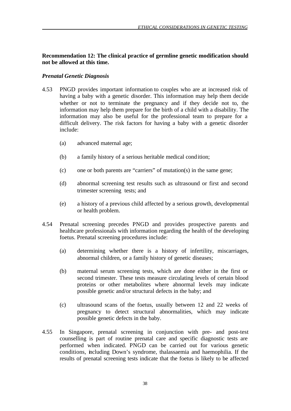#### **Recommendation 12: The clinical practice of germline genetic modification should not be allowed at this time.**

#### *Prenatal Genetic Diagnosis*

- 4.53 PNGD provides important information to couples who are at increased risk of having a baby with a genetic disorder. This information may help them decide whether or not to terminate the pregnancy and if they decide not to, the information may help them prepare for the birth of a child with a disability. The information may also be useful for the professional team to prepare for a difficult delivery. The risk factors for having a baby with a genetic disorder include:
	- (a) advanced maternal age;
	- (b) a family history of a serious heritable medical condition;
	- (c) one or both parents are "carriers" of mutation(s) in the same gene;
	- (d) abnormal screening test results such as ultrasound or first and second trimester screening tests; and
	- (e) a history of a previous child affected by a serious growth, developmental or health problem.
- 4.54 Prenatal screening precedes PNGD and provides prospective parents and healthcare professionals with information regarding the health of the developing foetus. Prenatal screening procedures include:
	- (a) determining whether there is a history of infertility, miscarriages, abnormal children, or a family history of genetic diseases;
	- (b) maternal serum screening tests, which are done either in the first or second trimester. These tests measure circulating levels of certain blood proteins or other metabolites where abnormal levels may indicate possible genetic and/or structural defects in the baby; and
	- (c) ultrasound scans of the foetus, usually between 12 and 22 weeks of pregnancy to detect structural abnormalities, which may indicate possible genetic defects in the baby.
- 4.55 In Singapore, prenatal screening in conjunction with pre- and post-test counselling is part of routine prenatal care and specific diagnostic tests are performed when indicated. PNGD can be carried out for various genetic conditions, including Down's syndrome, thalassaemia and haemophilia. If the results of prenatal screening tests indicate that the foetus is likely to be affected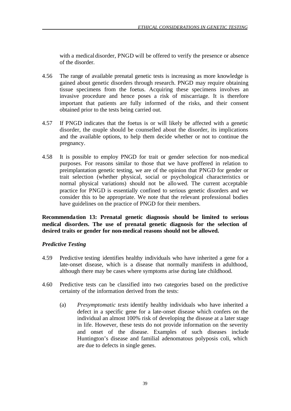with a medical disorder, PNGD will be offered to verify the presence or absence of the disorder.

- 4.56 The range of available prenatal genetic tests is increasing as more knowledge is gained about genetic disorders through research. PNGD may require obtaining tissue specimens from the foetus. Acquiring these specimens involves an invasive procedure and hence poses a risk of miscarriage. It is therefore important that patients are fully informed of the risks, and their consent obtained prior to the tests being carried out.
- 4.57 If PNGD indicates that the foetus is or will likely be affected with a genetic disorder, the couple should be counselled about the disorder, its implications and the available options, to help them decide whether or not to continue the pregnancy.
- 4.58 It is possible to employ PNGD for trait or gender selection for non-medical purposes. For reasons similar to those that we have proffered in relation to preimplantation genetic testing, we are of the opinion that PNGD for gender or trait selection (whether physical, social or psychological characteristics or normal physical variations) should not be allowed. The current acceptable practice for PNGD is essentially confined to serious genetic disorders and we consider this to be appropriate. We note that the relevant professional bodies have guidelines on the practice of PNGD for their members.

#### **Recommendation 13: Prenatal genetic diagnosis should be limited to serious medical disorders. The use of prenatal genetic diagnosis for the selection of desired traits or gender for non-medical reasons should not be allowed.**

#### *Predictive Testing*

- 4.59 Predictive testing identifies healthy individuals who have inherited a gene for a late-onset disease, which is a disease that normally manifests in adulthood, although there may be cases where symptoms arise during late childhood.
- 4.60 Predictive tests can be classified into two categories based on the predictive certainty of the information derived from the tests:
	- (a) *Presymptomatic tests* identify healthy individuals who have inherited a defect in a specific gene for a late-onset disease which confers on the individual an almost 100% risk of developing the disease at a later stage in life. However, these tests do not provide information on the severity and onset of the disease. Examples of such diseases include Huntington's disease and familial adenomatous polyposis coli, which are due to defects in single genes.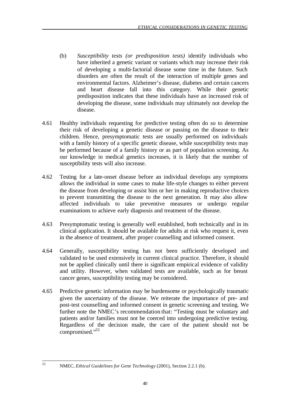- (b) *Susceptibility tests (or predisposition tests)* identify individuals who have inherited a genetic variant or variants which may increase their risk of developing a multi-factorial disease some time in the future. Such disorders are often the result of the interaction of multiple genes and environmental factors. Alzheimer's disease, diabetes and certain cancers and heart disease fall into this category. While their genetic predisposition indicates that these individuals have an increased risk of developing the disease, some individuals may ultimately not develop the disease.
- 4.61 Healthy individuals requesting for predictive testing often do so to determine their risk of developing a genetic disease or passing on the disease to their children. Hence, presymptomatic tests are usually performed on individuals with a family history of a specific genetic disease, while susceptibility tests may be performed because of a family history or as part of population screening. As our knowledge in medical genetics increases, it is likely that the number of susceptibility tests will also increase.
- 4.62 Testing for a late-onset disease before an individual develops any symptoms allows the individual in some cases to make life-style changes to either prevent the disease from developing or assist him or her in making reproductive choices to prevent transmitting the disease to the next generation. It may also allow affected individuals to take preventive measures or undergo regular examinations to achieve early diagnosis and treatment of the disease.
- 4.63 Presymptomatic testing is generally well established, both technically and in its clinical application. It should be available for adults at risk who request it, even in the absence of treatment, after proper counselling and informed consent.
- 4.64 Generally, susceptibility testing has not been sufficiently developed and validated to be used extensively in current clinical practice. Therefore, it should not be applied clinically until there is significant empirical evidence of validity and utility. However, when validated tests are available, such as for breast cancer genes, susceptibility testing may be considered.
- 4.65 Predictive genetic information may be burdensome or psychologically traumatic given the uncertainty of the disease. We reiterate the importance of pre- and post-test counselling and informed consent in genetic screening and testing. We further note the NMEC's recommendation that: "Testing must be voluntary and patients and/or families must not be coerced into undergoing predictive testing. Regardless of the decision made, the care of the patient should not be compromised."<sup>32</sup>

 $32$ 

<sup>32</sup> NMEC, *Ethical Guidelines for Gene Technology* (2001), Section 2.2.1 (b).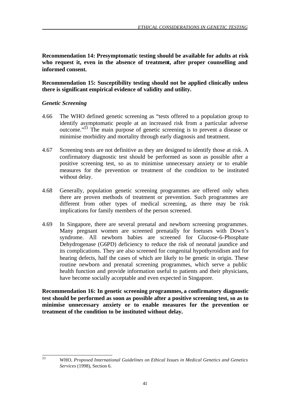**Recommendation 14: Presymptomatic testing should be available for adults at risk who request it, even in the absence of treatment, after proper counselling and informed consent.**

**Recommendation 15: Susceptibility testing should not be applied clinically unless there is significant empirical evidence of validity and utility.** 

#### *Genetic Screening*

- 4.66 The WHO defined genetic screening as "tests offered to a population group to identify asymptomatic people at an increased risk from a particular adverse outcome."<sup>33</sup> The main purpose of genetic screening is to prevent a disease or minimise morbidity and mortality through early diagnosis and treatment.
- 4.67 Screening tests are not definitive as they are designed to identify those at risk. A confirmatory diagnostic test should be performed as soon as possible after a positive screening test, so as to minimise unnecessary anxiety or to enable measures for the prevention or treatment of the condition to be instituted without delay.
- 4.68 Generally, population genetic screening programmes are offered only when there are proven methods of treatment or prevention. Such programmes are different from other types of medical screening, as there may be risk implications for family members of the person screened.
- 4.69 In Singapore, there are several prenatal and newborn screening programmes. Many pregnant women are screened prenatally for foetuses with Down's syndrome. All newborn babies are screened for Glucose-6-Phosphate Dehydrogenase (G6PD) deficiency to reduce the risk of neonatal jaundice and its complications. They are also screened for congenital hypothyroidism and for hearing defects, half the cases of which are likely to be genetic in origin. These routine newborn and prenatal screening programmes, which serve a public health function and provide information useful to patients and their physicians, have become socially acceptable and even expected in Singapore.

**Recommendation 16: In genetic screening programmes, a confirmatory diagnostic test should be performed as soon as possible after a positive screening test, so as to minimise unnecessary anxiety or to enable measures for the prevention or treatment of the condition to be instituted without delay.** 

 $\overline{33}$ 

<sup>33</sup> WHO, *Proposed International Guidelines on Ethical Issues in Medical Genetics and Genetics Services* (1998), Section 6.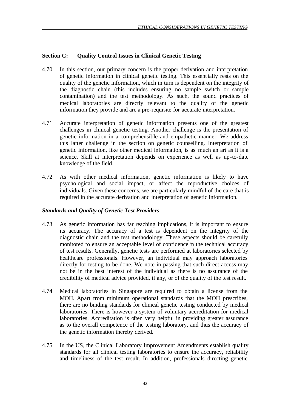#### **Section C: Quality Control Issues in Clinical Genetic Testing**

- 4.70 In this section, our primary concern is the proper derivation and interpretation of genetic information in clinical genetic testing. This essentially rests on the quality of the genetic information, which in turn is dependent on the integrity of the diagnostic chain (this includes ensuring no sample switch or sample contamination) and the test methodology. As such, the sound practices of medical laboratories are directly relevant to the quality of the genetic information they provide and are a pre-requisite for accurate interpretation.
- 4.71 Accurate interpretation of genetic information presents one of the greatest challenges in clinical genetic testing. Another challenge is the presentation of genetic information in a comprehensible and empathetic manner. We address this latter challenge in the section on genetic counselling. Interpretation of genetic information, like other medical information, is as much an art as it is a science. Skill at interpretation depends on experience as well as up-to-date knowledge of the field.
- 4.72 As with other medical information, genetic information is likely to have psychological and social impact, or affect the reproductive choices of individuals. Given these concerns, we are particularly mindful of the care that is required in the accurate derivation and interpretation of genetic information.

#### *Standards and Quality of Genetic Test Providers*

- 4.73 As genetic information has far reaching implications, it is important to ensure its accuracy. The accuracy of a test is dependent on the integrity of the diagnostic chain and the test methodology. These aspects should be carefully monitored to ensure an acceptable level of confidence in the technical accuracy of test results. Generally, genetic tests are performed at laboratories selected by healthcare professionals. However, an individual may approach laboratories directly for testing to be done. We note in passing that such direct access may not be in the best interest of the individual as there is no assurance of the credibility of medical advice provided, if any, or of the quality of the test result.
- 4.74 Medical laboratories in Singapore are required to obtain a license from the MOH. Apart from minimum operational standards that the MOH prescribes, there are no binding standards for clinical genetic testing conducted by medical laboratories. There is however a system of voluntary accreditation for medical laboratories. Accreditation is often very helpful in providing greater assurance as to the overall competence of the testing laboratory, and thus the accuracy of the genetic information thereby derived.
- 4.75 In the US, the Clinical Laboratory Improvement Amendments establish quality standards for all clinical testing laboratories to ensure the accuracy, reliability and timeliness of the test result. In addition, professionals directing genetic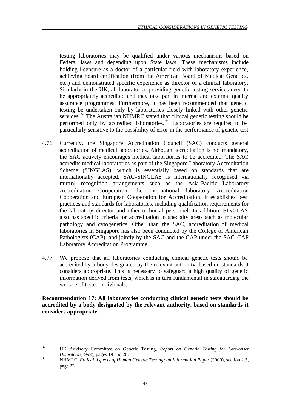testing laboratories may be qualified under various mechanisms based on Federal laws and depending upon State laws. These mechanisms include holding licensure as a doctor of a particular field with laboratory experience, achieving board certification (from the American Board of Medical Genetics, etc.) and demonstrated specific experience as director of a clinical laboratory. Similarly in the UK, all laboratories providing genetic testing services need to be appropriately accredited and they take part in internal and external quality assurance programmes. Furthermore, it has been recommended that genetic testing be undertaken only by laboratories closely linked with other genetic services.<sup>34</sup> The Australian NHMRC stated that clinical genetic testing should be performed only by accredited laboratories. <sup>35</sup> Laboratories are required to be particularly sensitive to the possibility of error in the performance of genetic test.

- 4.76 Currently, the Singapore Accreditation Council (SAC) conducts general accreditation of medical laboratories. Although accreditation is not mandatory, the SAC actively encourages medical laboratories to be accredited. The SAC accredits medical laboratories as part of the Singapore Laboratory Accreditation Scheme (SINGLAS), which is essentially based on standards that are internationally accepted. SAC-SINGLAS is internationally recognised via mutual recognition arrangements such as the Asia-Pacific Laboratory Accreditation Cooperation, the International laboratory Accreditation Cooperation and European Cooperation for Accreditation. It establishes best practices and standards for laboratories, including qualification requirements for the laboratory director and other technical personnel. In addition, SINGLAS also has specific criteria for accreditation in specialty areas such as molecular pathology and cytogenetics. Other than the SAC, accreditation of medical laboratories in Singapore has also been conducted by the College of American Pathologists (CAP), and jointly by the SAC and the CAP under the SAC-CAP Laboratory Accreditation Programme.
- 4.77 We propose that all laboratories conducting clinical genetic tests should be accredited by a body designated by the relevant authority, based on standards it considers appropriate. This is necessary to safeguard a high quality of genetic information derived from tests, which is in turn fundamental in safeguarding the welfare of tested individuals.

#### **Recommendation 17: All laboratories conducting clinical genetic tests should be accredited by a body designated by the relevant authority, based on standards it considers appropriate.**

 $\overline{34}$ <sup>34</sup> UK Advisory Committee on Genetic Testing, *Report on Genetic Testing for Late-onset Disorders* (1998), pages 19 and 20.

<sup>35</sup> NHMRC, *Ethical Aspects of Human Genetic Testing: an Information Paper* (2000), section 2.5, page 23.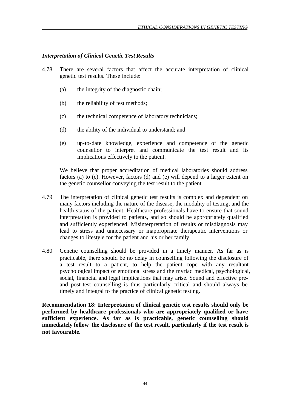#### *Interpretation of Clinical Genetic Test Results*

- 4.78 There are several factors that affect the accurate interpretation of clinical genetic test results. These include:
	- (a) the integrity of the diagnostic chain;
	- (b) the reliability of test methods;
	- (c) the technical competence of laboratory technicians;
	- (d) the ability of the individual to understand; and
	- (e) up-to-date knowledge, experience and competence of the genetic counsellor to interpret and communicate the test result and its implications effectively to the patient.

We believe that proper accreditation of medical laboratories should address factors (a) to (c). However, factors (d) and (e) will depend to a larger extent on the genetic counsellor conveying the test result to the patient.

- 4.79 The interpretation of clinical genetic test results is complex and dependent on many factors including the nature of the disease, the modality of testing, and the health status of the patient. Healthcare professionals have to ensure that sound interpretation is provided to patients, and so should be appropriately qualified and sufficiently experienced. Misinterpretation of results or misdiagnosis may lead to stress and unnecessary or inappropriate therapeutic interventions or changes to lifestyle for the patient and his or her family.
- 4.80 Genetic counselling should be provided in a timely manner. As far as is practicable, there should be no delay in counselling following the disclosure of a test result to a patient, to help the patient cope with any resultant psychological impact or emotional stress and the myriad medical, psychological, social, financial and legal implications that may arise. Sound and effective preand post-test counselling is thus particularly critical and should always be timely and integral to the practice of clinical genetic testing.

**Recommendation 18: Interpretation of clinical genetic test results should only be performed by healthcare professionals who are appropriately qualified or have sufficient experience. As far as is practicable, genetic counselling should immediately follow the disclosure of the test result, particularly if the test result is not favourable.**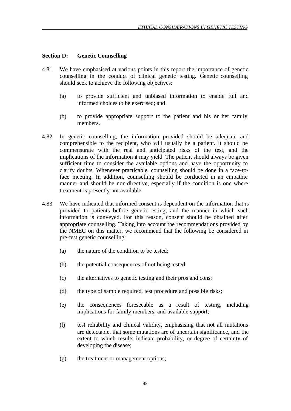#### **Section D: Genetic Counselling**

- 4.81 We have emphasised at various points in this report the importance of genetic counselling in the conduct of clinical genetic testing. Genetic counselling should seek to achieve the following objectives:
	- (a) to provide sufficient and unbiased information to enable full and informed choices to be exercised; and
	- (b) to provide appropriate support to the patient and his or her family members.
- 4.82 In genetic counselling, the information provided should be adequate and comprehensible to the recipient, who will usually be a patient. It should be commensurate with the real and anticipated risks of the test, and the implications of the information it may yield. The patient should always be given sufficient time to consider the available options and have the opportunity to clarify doubts. Whenever practicable, counselling should be done in a face-toface meeting. In addition, counselling should be conducted in an empathic manner and should be non-directive, especially if the condition is one where treatment is presently not available.
- 4.83 We have indicated that informed consent is dependent on the information that is provided to patients before genetic testing, and the manner in which such information is conveyed. For this reason, consent should be obtained after appropriate counselling. Taking into account the recommendations provided by the NMEC on this matter, we recommend that the following be considered in pre-test genetic counselling:
	- (a) the nature of the condition to be tested;
	- (b) the potential consequences of not being tested;
	- (c) the alternatives to genetic testing and their pros and cons;
	- (d) the type of sample required, test procedure and possible risks;
	- (e) the consequences foreseeable as a result of testing, including implications for family members, and available support;
	- (f) test reliability and clinical validity, emphasising that not all mutations are detectable, that some mutations are of uncertain significance, and the extent to which results indicate probability, or degree of certainty of developing the disease;
	- (g) the treatment or management options;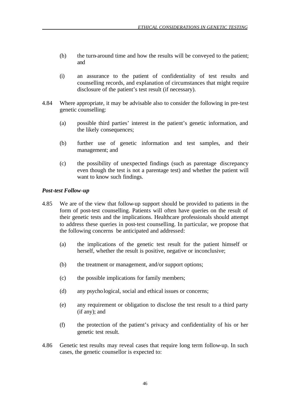- (h) the turn-around time and how the results will be conveyed to the patient; and
- (i) an assurance to the patient of confidentiality of test results and counselling records, and explanation of circumstances that might require disclosure of the patient's test result (if necessary).
- 4.84 Where appropriate, it may be advisable also to consider the following in pre-test genetic counselling:
	- (a) possible third parties' interest in the patient's genetic information, and the likely consequences;
	- (b) further use of genetic information and test samples, and their management; and
	- (c) the possibility of unexpected findings (such as parentage discrepancy even though the test is not a parentage test) and whether the patient will want to know such findings.

#### *Post-test Follow-up*

- 4.85 We are of the view that follow-up support should be provided to patients in the form of post-test counselling. Patients will often have queries on the result of their genetic tests and the implications. Healthcare professionals should attempt to address these queries in post-test counselling. In particular, we propose that the following concerns be anticipated and addressed:
	- (a) the implications of the genetic test result for the patient himself or herself, whether the result is positive, negative or inconclusive;
	- (b) the treatment or management, and/or support options;
	- (c) the possible implications for family members;
	- (d) any psychological, social and ethical issues or concerns;
	- (e) any requirement or obligation to disclose the test result to a third party (if any); and
	- (f) the protection of the patient's privacy and confidentiality of his or her genetic test result.
- 4.86 Genetic test results may reveal cases that require long term follow-up. In such cases, the genetic counsellor is expected to: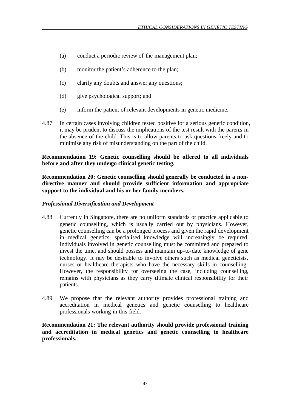- (a) conduct a periodic review of the management plan;
- (b) monitor the patient's adherence to the plan;
- (c) clarify any doubts and answer any questions;
- (d) give psychological support; and
- (e) inform the patient of relevant developments in genetic medicine.
- 4.87 In certain cases involving children tested positive for a serious genetic condition, it may be prudent to discuss the implications of the test result with the parents in the absence of the child. This is to allow parents to ask questions freely and to minimise any risk of misunderstanding on the part of the child.

#### **Recommendation 19: Genetic counselling should be offered to all individuals before and after they undergo clinical genetic testing.**

**Recommendation 20: Genetic counselling should generally be conducted in a nondirective manner and should provide sufficient information and appropriate support to the individual and his or her family members.**

#### *Professional Diversification and Development*

- 4.88 Currently in Singapore, there are no uniform standards or practice applicable to genetic counselling, which is usually carried out by physicians. However, genetic counselling can be a prolonged process and given the rapid development in medical genetics, specialised knowledge will increasingly be required. Individuals involved in genetic counselling must be committed and prepared to invest the time, and should possess and maintain up-to-date knowledge of gene technology. It may be desirable to involve others such as medical geneticists, nurses or healthcare therapists who have the necessary skills in counselling. However, the responsibility for overseeing the case, including counselling, remains with physicians as they carry ultimate clinical responsibility for their patients.
- 4.89 We propose that the relevant authority provides professional training and accreditation in medical genetics and genetic counselling to healthcare professionals working in this field.

**Recommendation 21: The relevant authority should provide professional training and accreditation in medical genetics and genetic counselling to healthcare professionals.**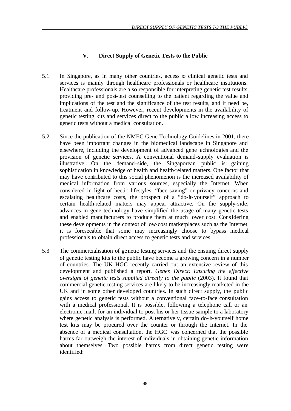#### **V. Direct Supply of Genetic Tests to the Public**

- 5.1 In Singapore, as in many other countries, access to clinical genetic tests and services is mainly through healthcare professionals or healthcare institutions. Healthcare professionals are also responsible for interpreting genetic test results, providing pre- and post-test counselling to the patient regarding the value and implications of the test and the significance of the test results, and if need be, treatment and follow-up. However, recent developments in the availability of genetic testing kits and services direct to the public allow increasing access to genetic tests without a medical consultation.
- 5.2 Since the publication of the NMEC Gene Technology Guidelines in 2001, there have been important changes in the biomedical landscape in Singapore and elsewhere, including the development of advanced gene technologies and the provision of genetic services. A conventional demand-supply evaluation is illustrative. On the demand-side, the Singaporean public is gaining sophistication in knowledge of health and health-related matters. One factor that may have contributed to this social phenomenon is the increased availability of medical information from various sources, especially the Internet. When considered in light of hectic lifestyles, "face-saving" or privacy concerns and escalating healthcare costs, the prospect of a "do-it-yourself" approach to certain health-related matters may appear attractive. On the supply-side, advances in gene technology have simplified the usage of many genetic tests and enabled manufacturers to produce them at much lower cost. Considering these developments in the context of low-cost marketplaces such as the Internet, it is foreseeable that some may increasingly choose to bypass medical professionals to obtain direct access to genetic tests and services.
- 5.3 The commercialisation of genetic testing services and the ensuing direct supply of genetic testing kits to the public have become a growing concern in a number of countries. The UK HGC recently carried out an extensive review of this development and published a report, *Genes Direct: Ensuring the effective oversight of genetic tests supplied directly to the public* (2003). It found that commercial genetic testing services are likely to be increasingly marketed in the UK and in some other developed countries. In such direct supply, the public gains access to genetic tests without a conventional face-to-face consultation with a medical professional. It is possible, following a telephone call or an electronic mail, for an individual to post his or her tissue sample to a laboratory where genetic analysis is performed. Alternatively, certain do-it-yourself home test kits may be procured over the counter or through the Internet. In the absence of a medical consultation, the HGC was concerned that the possible harms far outweigh the interest of individuals in obtaining genetic information about themselves. Two possible harms from direct genetic testing were identified: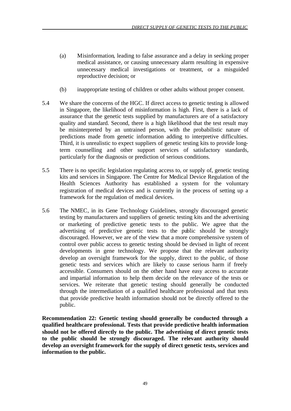- (a) Misinformation, leading to false assurance and a delay in seeking proper medical assistance, or causing unnecessary alarm resulting in expensive unnecessary medical investigations or treatment, or a misguided reproductive decision; or
- (b) inappropriate testing of children or other adults without proper consent.
- 5.4 We share the concerns of the HGC. If direct access to genetic testing is allowed in Singapore, the likelihood of misinformation is high. First, there is a lack of assurance that the genetic tests supplied by manufacturers are of a satisfactory quality and standard. Second, there is a high likelihood that the test result may be misinterpreted by an untrained person, with the probabilistic nature of predictions made from genetic information adding to interpretive difficulties. Third, it is unrealistic to expect suppliers of genetic testing kits to provide longterm counselling and other support services of satisfactory standards, particularly for the diagnosis or prediction of serious conditions.
- 5.5 There is no specific legislation regulating access to, or supply of, genetic testing kits and services in Singapore. The Centre for Medical Device Regulation of the Health Sciences Authority has established a system for the voluntary registration of medical devices and is currently in the process of setting up a framework for the regulation of medical devices.
- 5.6 The NMEC, in its Gene Technology Guidelines, strongly discouraged genetic testing by manufacturers and suppliers of genetic testing kits and the advertising or marketing of predictive genetic tests to the public. We agree that the advertising of predictive genetic tests to the public should be strongly discouraged. However, we are of the view that a more comprehensive system of control over public access to genetic testing should be devised in light of recent developments in gene technology. We propose that the relevant authority develop an oversight framework for the supply, direct to the public, of those genetic tests and services which are likely to cause serious harm if freely accessible. Consumers should on the other hand have easy access to accurate and impartial information to help them decide on the relevance of the tests or services. We reiterate that genetic testing should generally be conducted through the intermediation of a qualified healthcare professional and that tests that provide predictive health information should not be directly offered to the public.

**Recommendation 22: Genetic testing should generally be conducted through a qualified healthcare professional. Tests that provide predictive health information should not be offered directly to the public. The advertising of direct genetic tests to the public should be strongly discouraged. The relevant authority should develop an oversight framework for the supply of direct genetic tests, services and information to the public.**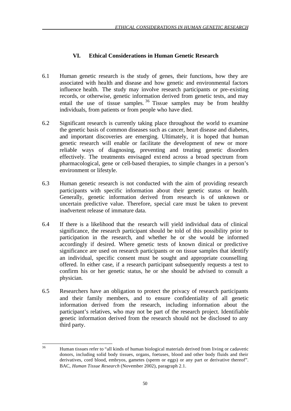#### **VI. Ethical Considerations in Human Genetic Research**

- 6.1 Human genetic research is the study of genes, their functions, how they are associated with health and disease and how genetic and environmental factors influence health. The study may involve research participants or pre-existing records, or otherwise, genetic information derived from genetic tests, and may entail the use of tissue samples. <sup>36</sup> Tissue samples may be from healthy individuals, from patients or from people who have died.
- 6.2 Significant research is currently taking place throughout the world to examine the genetic basis of common diseases such as cancer, heart disease and diabetes, and important discoveries are emerging. Ultimately, it is hoped that human genetic research will enable or facilitate the development of new or more reliable ways of diagnosing, preventing and treating genetic disorders effectively. The treatments envisaged ext end across a broad spectrum from pharmacological, gene or cell-based therapies, to simple changes in a person's environment or lifestyle.
- 6.3 Human genetic research is not conducted with the aim of providing research participants with specific information about their genetic status or health. Generally, genetic information derived from research is of unknown or uncertain predictive value. Therefore, special care must be taken to prevent inadvertent release of immature data.
- 6.4 If there is a likelihood that the research will yield individual data of clinical significance, the research participant should be told of this possibility prior to participation in the research, and whether he or she would be informed accordingly if desired. Where genetic tests of known dinical or predictive significance are used on research participants or on tissue samples that identify an individual, specific consent must be sought and appropriate counselling offered. In either case, if a research participant subsequently requests a test to confirm his or her genetic status, he or she should be advised to consult a physician.
- 6.5 Researchers have an obligation to protect the privacy of research participants and their family members, and to ensure confidentiality of all genetic information derived from the research, including information about the participant's relatives, who may not be part of the research project. Identifiable genetic information derived from the research should not be disclosed to any third party.

 $36$ <sup>36</sup> Human tissues refer to "all kinds of human biological materials derived from living or cadaveric donors, including solid body tissues, organs, foetuses, blood and other body fluids and their derivatives, cord blood, embryos, gametes (sperm or eggs) or any part or derivative thereof". BAC, *Human Tissue Research* (November 2002), paragraph 2.1.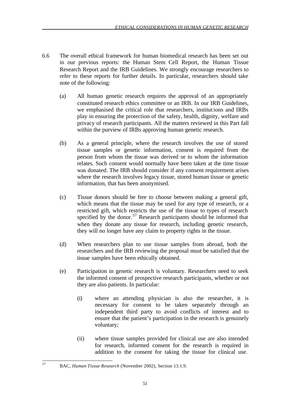- 6.6 The overall ethical framework for human biomedical research has been set out in our previous reports: the Human Stem Cell Report, the Human Tissue Research Report and the IRB Guidelines. We strongly encourage researchers to refer to these reports for further details. In particular, researchers should take note of the following:
	- (a) All human genetic research requires the approval of an appropriately constituted research ethics committee or an IRB. In our IRB Guidelines, we emphasised the critical role that researchers, institutions and IRBs play in ensuring the protection of the safety, health, dignity, welfare and privacy of research participants. All the matters reviewed in this Part fall within the purview of IRBs approving human genetic research.
	- (b) As a general principle, where the research involves the use of stored tissue samples or genetic information, consent is required from the person from whom the tissue was derived or to whom the information relates. Such consent would normally have been taken at the time tissue was donated. The IRB should consider if any consent requirement arises where the research involves legacy tissue, stored human tissue or genetic information, that has been anonymised.
	- (c) Tissue donors should be free to choose between making a general gift, which means that the tissue may be used for any type of research, or a restricted gift, which restricts the use of the tissue to types of research specified by the donor.<sup>37</sup> Research participants should be informed that when they donate any tissue for research, including genetic research, they will no longer have any claim to property rights in the tissue.
	- (d) When researchers plan to use tissue samples from abroad, both the researchers and the IRB reviewing the proposal must be satisfied that the tissue samples have been ethically obtained.
	- (e) Participation in genetic research is voluntary. Researchers need to seek the informed consent of prospective research participants, whether or not they are also patients. In particular:
		- (i) where an attending physician is also the researcher, it is necessary for consent to be taken separately through an independent third party to avoid conflicts of interest and to ensure that the patient's participation in the research is genuinely voluntary;
		- (ii) where tissue samples provided for clinical use are also intended for research, informed consent for the research is required in addition to the consent for taking the tissue for clinical use.

<sup>37</sup> <sup>37</sup> BAC, *Human Tissue Research* (November 2002), Section 13.1.9.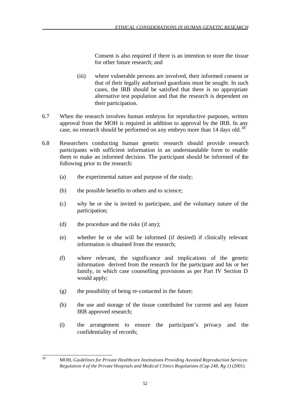Consent is also required if there is an intention to store the tissue for other future research; and

- (iii) where vulnerable persons are involved, their informed consent or that of their legally authorised guardians must be sought. In such cases, the IRB should be satisfied that there is no appropriate alternative test population and that the research is dependent on their participation.
- 6.7 When the research involves human embryos for reproductive purposes, written approval from the MOH is required in addition to approval by the IRB. In any case, no research should be performed on any embryo more than 14 days old.<sup>38</sup>
- 6.8 Researchers conducting human genetic research should provide research participants with sufficient information in an understandable form to enable them to make an informed decision. The participant should be informed of the following prior to the research:
	- (a) the experimental nature and purpose of the study;
	- (b) the possible benefits to others and to science;
	- (c) why he or she is invited to participate, and the voluntary nature of the participation;
	- (d) the procedure and the risks (if any);
	- (e) whether he or she will be informed (if desired) if clinically relevant information is obtained from the research;
	- (f) where relevant, the significance and implications of the genetic information derived from the research for the participant and his or her family, in which case counselling provisions as per Part IV Section D would apply;
	- $(g)$  the possibility of being re-contacted in the future;
	- (h) the use and storage of the tissue contributed for current and any future IRB approved research;
	- (i) the arrangement to ensure the participant's privacy and the confidentiality of records;

 $\overline{38}$ <sup>38</sup> MOH, *Guidelines for Private Healthcare Institutions Providing Assisted Reproduction Services: Regulation 4 of the Private Hospitals and Medical Clinics Regulations (Cap 248, Rg 1)* (2001).